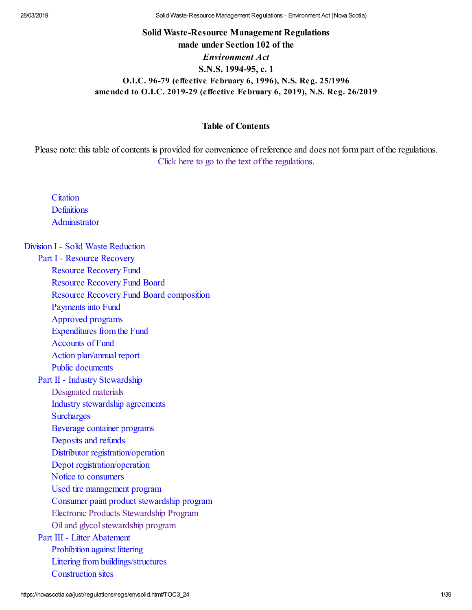# **Solid Waste-Resource Management Regulations made under Section 102 of the** *Environment Act* **S.N.S. 1994-95, c. 1 O.I.C. 96-79 (effective February 6, 1996), N.S. Reg. 25/1996 amended to O.I.C. 2019-29 (effective February 6, 2019), N.S. Reg. 26/2019**

#### **Table of Contents**

Please note: this table of contents is provided for convenience of reference and does not form part of the regulations. [Click here to go to the text of the regulations.](https://novascotia.ca/just/regulations/regs/envsolid.htm#text)

**[Citation](https://novascotia.ca/just/regulations/regs/envsolid.htm#TOC3_1) [Definitions](https://novascotia.ca/just/regulations/regs/envsolid.htm#TOC3_2) [Administrator](https://novascotia.ca/just/regulations/regs/envsolid.htm#TOC3_3)** 

#### [Division I - Solid Waste Reduction](https://novascotia.ca/just/regulations/regs/envsolid.htm#TOC1_1)

[Part I - Resource Recovery](https://novascotia.ca/just/regulations/regs/envsolid.htm#TOC2_1)

[Resource Recovery Fund](https://novascotia.ca/just/regulations/regs/envsolid.htm#TOC3_4)

[Resource Recovery Fund Board](https://novascotia.ca/just/regulations/regs/envsolid.htm#TOC3_5)

[Resource Recovery Fund Board composition](https://novascotia.ca/just/regulations/regs/envsolid.htm#TOC3_6)

[Payments into Fund](https://novascotia.ca/just/regulations/regs/envsolid.htm#TOC3_7)

[Approved programs](https://novascotia.ca/just/regulations/regs/envsolid.htm#TOC3_8)

[Expenditures from the Fund](https://novascotia.ca/just/regulations/regs/envsolid.htm#TOC3_9)

[Accounts of Fund](https://novascotia.ca/just/regulations/regs/envsolid.htm#TOC3_10)

[Action plan/annual report](https://novascotia.ca/just/regulations/regs/envsolid.htm#TOC3_11)

[Public documents](https://novascotia.ca/just/regulations/regs/envsolid.htm#TOC3_12)

[Part II - Industry Stewardship](https://novascotia.ca/just/regulations/regs/envsolid.htm#TOC2_2)

[Designated materials](https://novascotia.ca/just/regulations/regs/envsolid.htm#TOC3_13)

[Industry stewardship agreements](https://novascotia.ca/just/regulations/regs/envsolid.htm#TOC3_14)

**[Surcharges](https://novascotia.ca/just/regulations/regs/envsolid.htm#TOC3_15)** 

[Beverage container programs](https://novascotia.ca/just/regulations/regs/envsolid.htm#TOC3_16)

[Deposits and refunds](https://novascotia.ca/just/regulations/regs/envsolid.htm#TOC3_17)

[Distributor registration/operation](https://novascotia.ca/just/regulations/regs/envsolid.htm#TOC3_18)

[Depot registration/operation](https://novascotia.ca/just/regulations/regs/envsolid.htm#TOC3_19)

[Notice to consumers](https://novascotia.ca/just/regulations/regs/envsolid.htm#TOC3_20)

[Used tire management program](https://novascotia.ca/just/regulations/regs/envsolid.htm#TOC3_21)

[Consumer paint product stewardship program](https://novascotia.ca/just/regulations/regs/envsolid.htm#TOC3_22)

[Electronic Products Stewardship Program](https://novascotia.ca/just/regulations/regs/envsolid.htm#TOC3_23)

[Oil and glycol stewardship program](https://novascotia.ca/just/regulations/regs/envsolid.htm#TOC3_24)

[Part III - Litter Abatement](https://novascotia.ca/just/regulations/regs/envsolid.htm#TOC2_3)

[Prohibition against littering](https://novascotia.ca/just/regulations/regs/envsolid.htm#TOC3_25)

[Littering from buildings/structures](https://novascotia.ca/just/regulations/regs/envsolid.htm#TOC3_26)

[Construction sites](https://novascotia.ca/just/regulations/regs/envsolid.htm#TOC3_27)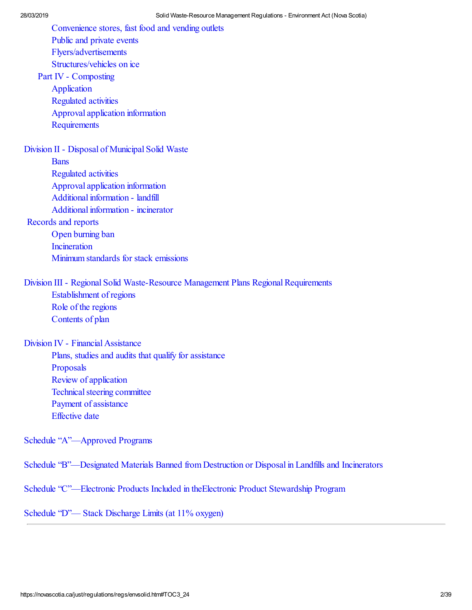[Convenience stores, fast food and vending outlets](https://novascotia.ca/just/regulations/regs/envsolid.htm#TOC3_28) [Public and private events](https://novascotia.ca/just/regulations/regs/envsolid.htm#TOC3_29) [Flyers/advertisements](https://novascotia.ca/just/regulations/regs/envsolid.htm#TOC3_30) [Structures/vehicles on ice](https://novascotia.ca/just/regulations/regs/envsolid.htm#TOC3_31) [Part IV - Composting](https://novascotia.ca/just/regulations/regs/envsolid.htm#TOC2_4) [Application](https://novascotia.ca/just/regulations/regs/envsolid.htm#TOC3_32) [Regulated activities](https://novascotia.ca/just/regulations/regs/envsolid.htm#TOC3_33) [Approval application information](https://novascotia.ca/just/regulations/regs/envsolid.htm#TOC3_34) [Requirements](https://novascotia.ca/just/regulations/regs/envsolid.htm#TOC3_35) [Division II - Disposal of Municipal Solid Waste](https://novascotia.ca/just/regulations/regs/envsolid.htm#TOC1_2) **[Bans](https://novascotia.ca/just/regulations/regs/envsolid.htm#TOC3_36)** [Regulated activities](https://novascotia.ca/just/regulations/regs/envsolid.htm#TOC3_37) [Approval application information](https://novascotia.ca/just/regulations/regs/envsolid.htm#TOC3_38) [Additional information - landfill](https://novascotia.ca/just/regulations/regs/envsolid.htm#TOC3_39) [Additional information - incinerator](https://novascotia.ca/just/regulations/regs/envsolid.htm#TOC3_40) [Records and reports](https://novascotia.ca/just/regulations/regs/envsolid.htm#TOC3_41) [Open burning ban](https://novascotia.ca/just/regulations/regs/envsolid.htm#TOC3_42) **[Incineration](https://novascotia.ca/just/regulations/regs/envsolid.htm#TOC3_43)** [Minimum standards for stack emissions](https://novascotia.ca/just/regulations/regs/envsolid.htm#TOC3_44) [Division III - Regional Solid Waste-Resource Management Plans Regional Requirements](https://novascotia.ca/just/regulations/regs/envsolid.htm#TOC1_3) [Establishment of regions](https://novascotia.ca/just/regulations/regs/envsolid.htm#TOC3_45) [Role of the regions](https://novascotia.ca/just/regulations/regs/envsolid.htm#TOC3_46) [Contents of plan](https://novascotia.ca/just/regulations/regs/envsolid.htm#TOC3_47) [Division IV - Financial Assistance](https://novascotia.ca/just/regulations/regs/envsolid.htm#TOC1_4) [Plans, studies and audits that qualify for assistance](https://novascotia.ca/just/regulations/regs/envsolid.htm#TOC3_48)

[Proposals](https://novascotia.ca/just/regulations/regs/envsolid.htm#TOC3_49) [Review of application](https://novascotia.ca/just/regulations/regs/envsolid.htm#TOC3_50) [Technical steering committee](https://novascotia.ca/just/regulations/regs/envsolid.htm#TOC3_51) [Payment of assistance](https://novascotia.ca/just/regulations/regs/envsolid.htm#TOC3_52) [Effective date](https://novascotia.ca/just/regulations/regs/envsolid.htm#TOC3_53)

[Schedule "A"—Approved Programs](https://novascotia.ca/just/regulations/regs/envsolid.htm#TOC1_5)

[Schedule "B"—Designated Materials Banned from Destruction or Disposal in Landfills and Incinerators](https://novascotia.ca/just/regulations/regs/envsolid.htm#TOC1_6)

[Schedule "C"—Electronic Products Included in theElectronic Product Stewardship Program](https://novascotia.ca/just/regulations/regs/envsolid.htm#TOC1_7)

[Schedule "D"— Stack Discharge Limits \(at 11% oxygen\)](https://novascotia.ca/just/regulations/regs/envsolid.htm#TOC1_8)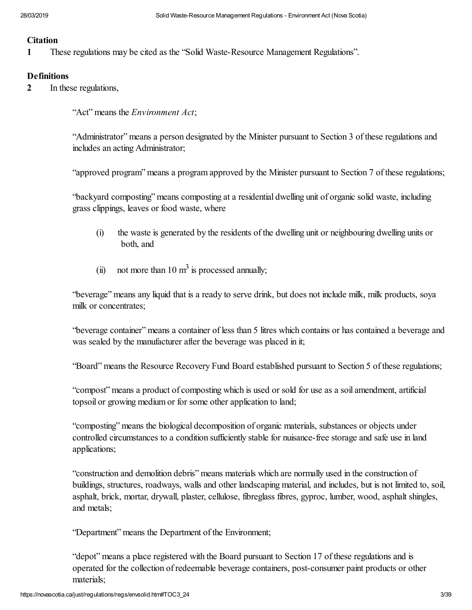#### **Citation**

**1** These regulations may be cited as the "Solid Waste-Resource Management Regulations".

#### **Definitions**

**2** In these regulations,

"Act" means the *Environment Act*;

"Administrator" means a person designated by the Minister pursuant to Section 3 of these regulations and includes an acting Administrator;

"approved program" means a program approved by the Minister pursuant to Section 7 of these regulations;

"backyard composting" means composting at a residential dwelling unit of organic solid waste, including grass clippings, leaves or food waste, where

- (i) the waste is generated by the residents of the dwelling unit or neighbouring dwelling units or both, and
- (ii) not more than 10  $\text{m}^3$  is processed annually;

"beverage" means any liquid that is a ready to serve drink, but does not include milk, milk products, soya milk or concentrates;

"beverage container" means a container of less than 5 litres which contains or has contained a beverage and was sealed by the manufacturer after the beverage was placed in it;

"Board" means the Resource Recovery Fund Board established pursuant to Section 5 of these regulations;

"compost" means a product of composting which is used or sold for use as a soil amendment, artificial topsoil or growing medium or for some other application to land;

"composting" means the biological decomposition of organic materials, substances or objects under controlled circumstances to a condition sufficiently stable for nuisance-free storage and safe use in land applications;

"construction and demolition debris" means materials which are normally used in the construction of buildings, structures, roadways, walls and other landscaping material, and includes, but is not limited to, soil, asphalt, brick, mortar, drywall, plaster, cellulose, fibreglass fibres, gyproc, lumber, wood, asphalt shingles, and metals;

"Department" means the Department of the Environment;

"depot" means a place registered with the Board pursuant to Section 17 of these regulations and is operated for the collection of redeemable beverage containers, post-consumer paint products or other materials;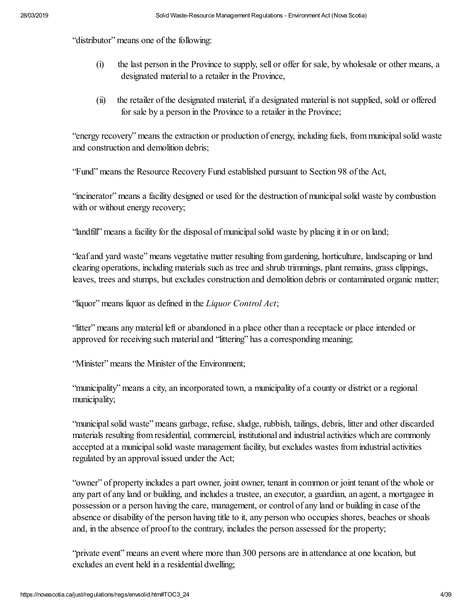"distributor" means one of the following:

- (i) the last person in the Province to supply, sell or offer for sale, by wholesale or other means, a designated material to a retailer in the Province,
- (ii) the retailer of the designated material, if a designated material is not supplied, sold or offered for sale by a person in the Province to a retailer in the Province;

"energy recovery" means the extraction or production of energy, including fuels, from municipal solid waste and construction and demolition debris;

"Fund" means the Resource Recovery Fund established pursuant to Section 98 of the Act,

"incinerator" means a facility designed or used for the destruction of municipal solid waste by combustion with or without energy recovery;

"landfill" means a facility for the disposal of municipal solid waste by placing it in or on land;

"leaf and yard waste" means vegetative matter resulting from gardening, horticulture, landscaping or land clearing operations, including materials such as tree and shrub trimmings, plant remains, grass clippings, leaves, trees and stumps, but excludes construction and demolition debris or contaminated organic matter;

"liquor" means liquor as defined in the *Liquor Control Act*;

"litter" means any material left or abandoned in a place other than a receptacle or place intended or approved for receiving such material and "littering" has a corresponding meaning;

"Minister" means the Minister of the Environment;

"municipality" means a city, an incorporated town, a municipality of a county or district or a regional municipality;

"municipal solid waste" means garbage, refuse, sludge, rubbish, tailings, debris, litter and other discarded materials resulting from residential, commercial, institutional and industrial activities which are commonly accepted at a municipal solid waste management facility, but excludes wastes from industrial activities regulated by an approval issued under the Act;

"owner" of property includes a part owner, joint owner, tenant in common or joint tenant of the whole or any part of any land or building, and includes a trustee, an executor, a guardian, an agent, a mortgagee in possession or a person having the care, management, or control of any land or building in case of the absence or disability of the person having title to it, any person who occupies shores, beaches or shoals and, in the absence of proof to the contrary, includes the person assessed for the property;

"private event" means an event where more than 300 persons are in attendance at one location, but excludes an event held in a residential dwelling;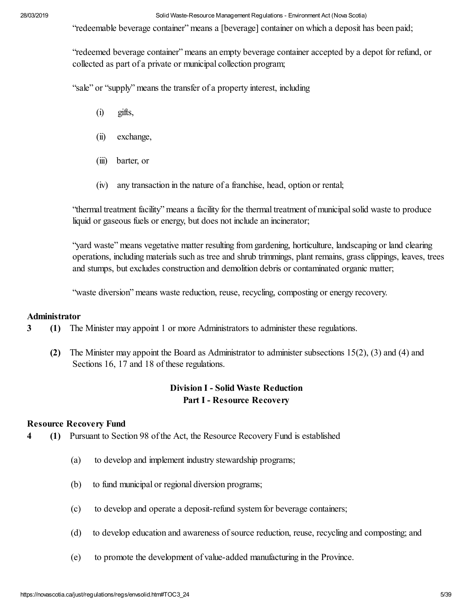"redeemable beverage container" means a [beverage] container on which a deposit has been paid;

"redeemed beverage container" means an empty beverage container accepted by a depot for refund, or collected as part of a private or municipal collection program;

"sale" or "supply" means the transfer of a property interest, including

- (i) gifts,
- (ii) exchange,
- (iii) barter, or
- (iv) any transaction in the nature of a franchise, head, option or rental;

"thermal treatment facility" means a facility for the thermal treatment of municipal solid waste to produce liquid or gaseous fuels or energy, but does not include an incinerator;

"yard waste" means vegetative matter resulting from gardening, horticulture, landscaping or land clearing operations, including materials such as tree and shrub trimmings, plant remains, grass clippings, leaves, trees and stumps, but excludes construction and demolition debris or contaminated organic matter;

"waste diversion" means waste reduction, reuse, recycling, composting or energy recovery.

#### **Administrator**

**3** (1) The Minister may appoint 1 or more Administrators to administer these regulations.

 **(2)** The Minister may appoint the Board as Administrator to administer subsections 15(2), (3) and (4) and Sections 16, 17 and 18 of these regulations.

### **Division I - Solid Waste Reduction Part I - Resource Recovery**

#### **Resource Recovery Fund**

- **4 (1)** Pursuant to Section 98 of the Act, the Resource Recovery Fund is established
	- (a) to develop and implement industry stewardship programs;
	- (b) to fund municipal or regional diversion programs;
	- (c) to develop and operate a deposit-refund system for beverage containers;
	- (d) to develop education and awareness of source reduction, reuse, recycling and composting; and
	- (e) to promote the development of value-added manufacturing in the Province.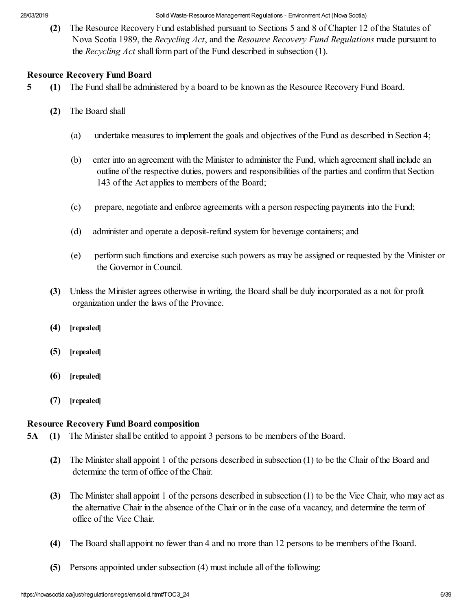**(2)** The Resource Recovery Fund established pursuant to Sections 5 and 8 of Chapter 12 of the Statutes of Nova Scotia 1989, the *Recycling Act*, and the *Resource Recovery Fund Regulations* made pursuant to the *Recycling Act* shall form part of the Fund described in subsection (1).

#### **Resource Recovery Fund Board**

- **5 (1)** The Fund shall be administered by a board to be known as the Resource Recovery Fund Board.
	- **(2)** The Board shall
		- (a) undertake measures to implement the goals and objectives of the Fund as described in Section 4;
		- (b) enter into an agreement with the Minister to administer the Fund, which agreement shall include an outline of the respective duties, powers and responsibilities of the parties and confirm that Section 143 of the Act applies to members of the Board;
		- (c) prepare, negotiate and enforce agreements with a person respecting payments into the Fund;
		- (d) administer and operate a deposit-refund system for beverage containers; and
		- (e) perform such functions and exercise such powers as may be assigned or requested by the Minister or the Governor in Council.
	- **(3)** Unless the Minister agrees otherwise in writing, the Board shall be duly incorporated as a not for profit organization under the laws of the Province.
	- **(4) [repealed]**
	- **(5) [repealed]**
	- **(6) [repealed]**
	- **(7) [repealed]**

### **Resource Recovery Fund Board composition**

- **5A (1)** The Minister shall be entitled to appoint 3 persons to be members of the Board.
	- **(2)** The Minister shall appoint 1 of the persons described in subsection (1) to be the Chair of the Board and determine the term of office of the Chair.
	- **(3)** The Minister shall appoint 1 of the persons described in subsection (1) to be the Vice Chair, who may act as the alternative Chair in the absence of the Chair or in the case of a vacancy, and determine the term of office of the Vice Chair.
	- **(4)** The Board shall appoint no fewer than 4 and no more than 12 persons to be members of the Board.
	- **(5)** Persons appointed under subsection (4) must include all of the following: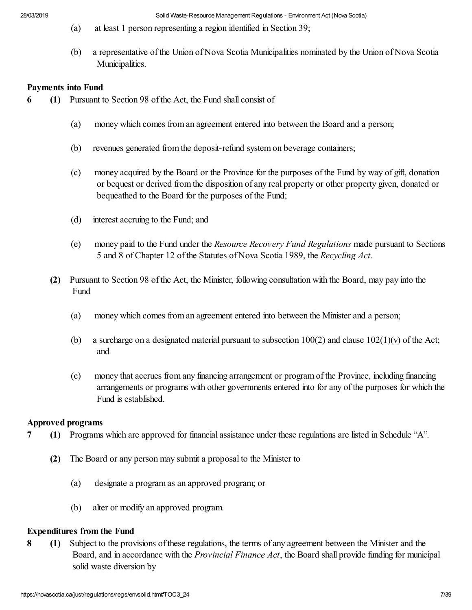- (a) at least 1 person representing a region identified in Section 39;
- (b) a representative of the Union of Nova Scotia Municipalities nominated by the Union of Nova Scotia Municipalities.

#### **Payments into Fund**

- **6 (1)** Pursuant to Section 98 of the Act, the Fund shall consist of
	- (a) money which comes from an agreement entered into between the Board and a person;
	- (b) revenues generated from the deposit-refund system on beverage containers;
	- (c) money acquired by the Board or the Province for the purposes of the Fund by way of gift, donation or bequest or derived from the disposition of any real property or other property given, donated or bequeathed to the Board for the purposes of the Fund;
	- (d) interest accruing to the Fund; and
	- (e) money paid to the Fund under the *Resource Recovery Fund Regulations* made pursuant to Sections 5 and 8 of Chapter 12 of the Statutes of Nova Scotia 1989, the *Recycling Act*.
	- **(2)** Pursuant to Section 98 of the Act, the Minister, following consultation with the Board, may pay into the Fund
		- (a) money which comes from an agreement entered into between the Minister and a person;
		- (b) a surcharge on a designated material pursuant to subsection  $100(2)$  and clause  $102(1)(v)$  of the Act; and
		- (c) money that accrues from any financing arrangement or program of the Province, including financing arrangements or programs with other governments entered into for any of the purposes for which the Fund is established.

#### **Approved programs**

- **7 (1)** Programs which are approved for financial assistance under these regulations are listed in Schedule "A".
	- **(2)** The Board or any person may submit a proposal to the Minister to
		- (a) designate a program as an approved program; or
		- (b) alter or modify an approved program.

#### **Expenditures from the Fund**

**8 (1)** Subject to the provisions of these regulations, the terms of any agreement between the Minister and the Board, and in accordance with the *Provincial Finance Act*, the Board shall provide funding for municipal solid waste diversion by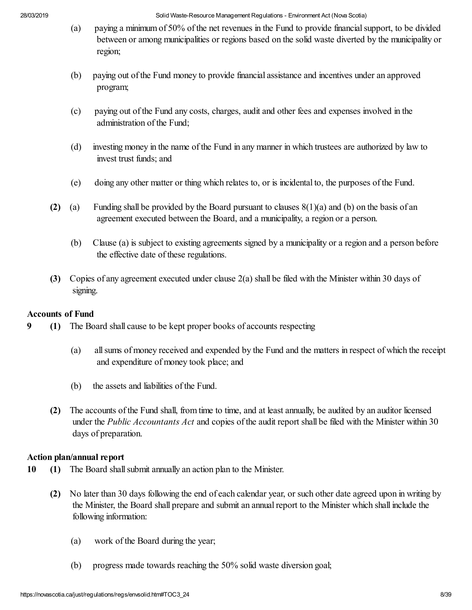- (a) paying a minimum of 50% of the net revenues in the Fund to provide financial support, to be divided between or among municipalities or regions based on the solid waste diverted by the municipality or region;
- (b) paying out of the Fund money to provide financial assistance and incentives under an approved program;
- (c) paying out of the Fund any costs, charges, audit and other fees and expenses involved in the administration of the Fund;
- (d) investing money in the name of the Fund in any manner in which trustees are authorized by law to invest trust funds; and
- (e) doing any other matter or thing which relates to, or is incidental to, the purposes of the Fund.
- **(2)** (a) Funding shall be provided by the Board pursuant to clauses 8(1)(a) and (b) on the basis of an agreement executed between the Board, and a municipality, a region or a person.
	- (b) Clause (a) is subject to existing agreements signed by a municipality or a region and a person before the effective date of these regulations.
- **(3)** Copies of any agreement executed under clause 2(a) shall be filed with the Minister within 30 days of signing.

### **Accounts of Fund**

- **9 (1)** The Board shall cause to be kept proper books of accounts respecting
	- (a) all sums of money received and expended by the Fund and the matters in respect of which the receipt and expenditure of money took place; and
	- (b) the assets and liabilities of the Fund.
	- **(2)** The accounts of the Fund shall, from time to time, and at least annually, be audited by an auditor licensed under the *Public Accountants Act* and copies of the audit report shall be filed with the Minister within 30 days of preparation.

### **Action plan/annual report**

- **10 (1)** The Board shall submit annually an action plan to the Minister.
	- **(2)** No later than 30 days following the end of each calendar year, or such other date agreed upon in writing by the Minister, the Board shall prepare and submit an annual report to the Minister which shall include the following information:
		- (a) work of the Board during the year;
		- (b) progress made towards reaching the 50% solid waste diversion goal;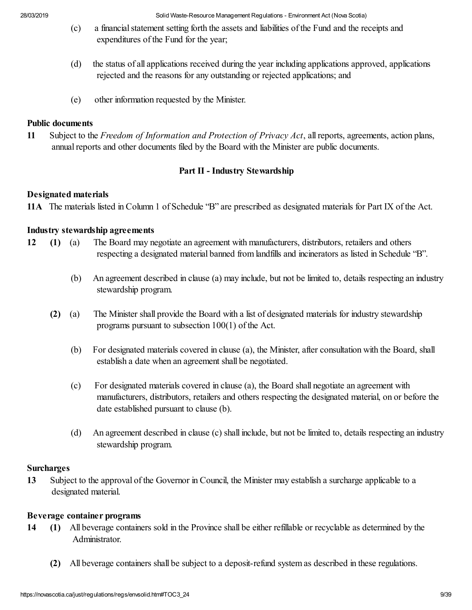- (c) a financial statement setting forth the assets and liabilities of the Fund and the receipts and expenditures of the Fund for the year;
- (d) the status of all applications received during the year including applications approved, applications rejected and the reasons for any outstanding or rejected applications; and
- (e) other information requested by the Minister.

#### **Public documents**

**11** Subject to the *Freedom of Information and Protection of Privacy Act*, all reports, agreements, action plans, annual reports and other documents filed by the Board with the Minister are public documents.

#### **Part II - Industry Stewardship**

#### **Designated materials**

**11A** The materials listed in Column 1 of Schedule "B" are prescribed as designated materials for Part IX of the Act.

#### **Industry stewardship agreements**

- **12 (1)** (a) The Board may negotiate an agreement with manufacturers, distributors, retailers and others respecting a designated material banned from landfills and incinerators as listed in Schedule "B".
	- (b) An agreement described in clause (a) may include, but not be limited to, details respecting an industry stewardship program.
	- **(2)** (a) The Minister shall provide the Board with a list of designated materials for industry stewardship programs pursuant to subsection 100(1) of the Act.
		- (b) For designated materials covered in clause (a), the Minister, after consultation with the Board, shall establish a date when an agreement shall be negotiated.
		- (c) For designated materials covered in clause (a), the Board shall negotiate an agreement with manufacturers, distributors, retailers and others respecting the designated material, on or before the date established pursuant to clause (b).
		- (d) An agreement described in clause (c) shall include, but not be limited to, details respecting an industry stewardship program.

#### **Surcharges**

**13** Subject to the approval of the Governor in Council, the Minister may establish a surcharge applicable to a designated material.

#### **Beverage container programs**

- **14 (1)** All beverage containers sold in the Province shall be either refillable or recyclable as determined by the Administrator.
	- **(2)** All beverage containers shall be subject to a deposit-refund system as described in these regulations.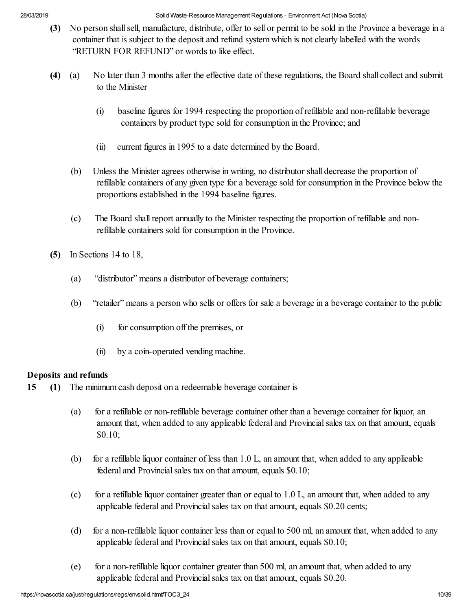- **(3)** No person shall sell, manufacture, distribute, offer to sell or permit to be sold in the Province a beverage in a container that is subject to the deposit and refund system which is not clearly labelled with the words "RETURN FOR REFUND" or words to like effect.
- **(4)** (a) No later than 3 months after the effective date of these regulations, the Board shall collect and submit to the Minister
	- (i) baseline figures for 1994 respecting the proportion of refillable and non-refillable beverage containers by product type sold for consumption in the Province; and
	- (ii) current figures in 1995 to a date determined by the Board.
	- (b) Unless the Minister agrees otherwise in writing, no distributor shall decrease the proportion of refillable containers of any given type for a beverage sold for consumption in the Province below the proportions established in the 1994 baseline figures.
	- (c) The Board shall report annually to the Minister respecting the proportion of refillable and nonrefillable containers sold for consumption in the Province.
- **(5)** In Sections 14 to 18,
	- (a) "distributor" means a distributor of beverage containers;
	- (b) "retailer" means a person who sells or offers for sale a beverage in a beverage container to the public
		- (i) for consumption off the premises, or
		- (ii) by a coin-operated vending machine.

### **Deposits and refunds**

- **15 (1)** The minimum cash deposit on a redeemable beverage container is
	- (a) for a refillable or non-refillable beverage container other than a beverage container for liquor, an amount that, when added to any applicable federal and Provincial sales tax on that amount, equals \$0.10;
	- (b) for a refillable liquor container of less than 1.0 L, an amount that, when added to any applicable federal and Provincial sales tax on that amount, equals \$0.10;
	- (c) for a refillable liquor container greater than or equal to 1.0 L, an amount that, when added to any applicable federal and Provincial sales tax on that amount, equals \$0.20 cents;
	- (d) for a non-refillable liquor container less than or equal to 500 ml, an amount that, when added to any applicable federal and Provincial sales tax on that amount, equals \$0.10;
	- (e) for a non-refillable liquor container greater than 500 ml, an amount that, when added to any applicable federal and Provincial sales tax on that amount, equals \$0.20.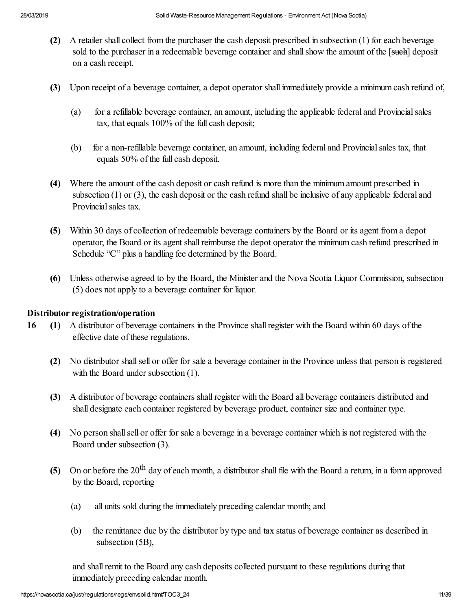- **(2)** A retailer shall collect from the purchaser the cash deposit prescribed in subsection (1) for each beverage sold to the purchaser in a redeemable beverage container and shall show the amount of the [such] deposit on a cash receipt.
- **(3)** Upon receipt of a beverage container, a depot operator shall immediately provide a minimum cash refund of,
	- (a) for a refillable beverage container, an amount, including the applicable federal and Provincial sales tax, that equals 100% of the full cash deposit;
	- (b) for a non-refillable beverage container, an amount, including federal and Provincial sales tax, that equals 50% of the full cash deposit.
- **(4)** Where the amount of the cash deposit or cash refund is more than the minimum amount prescribed in subsection (1) or (3), the cash deposit or the cash refund shall be inclusive of any applicable federal and Provincial sales tax.
- **(5)** Within 30 days of collection of redeemable beverage containers by the Board or its agent from a depot operator, the Board or its agent shall reimburse the depot operator the minimum cash refund prescribed in Schedule "C" plus a handling fee determined by the Board.
- **(6)** Unless otherwise agreed to by the Board, the Minister and the Nova Scotia Liquor Commission, subsection (5) does not apply to a beverage container for liquor.

#### **Distributor registration/operation**

- **16 (1)** A distributor of beverage containers in the Province shall register with the Board within 60 days of the effective date of these regulations.
	- **(2)** No distributor shall sell or offer for sale a beverage container in the Province unless that person is registered with the Board under subsection (1).
	- **(3)** A distributor of beverage containers shall register with the Board all beverage containers distributed and shall designate each container registered by beverage product, container size and container type.
	- **(4)** No person shall sell or offer for sale a beverage in a beverage container which is not registered with the Board under subsection (3).
	- **(5)** On or before the 20th day of each month, a distributor shall file with the Board a return, in a form approved by the Board, reporting
		- (a) all units sold during the immediately preceding calendar month; and
		- (b) the remittance due by the distributor by type and tax status of beverage container as described in subsection (5B),

and shall remit to the Board any cash deposits collected pursuant to these regulations during that immediately preceding calendar month.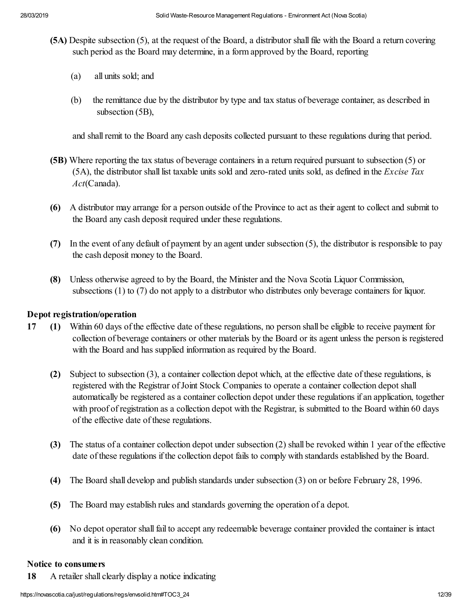- **(5A)** Despite subsection (5), at the request of the Board, a distributor shall file with the Board a return covering such period as the Board may determine, in a form approved by the Board, reporting
	- (a) all units sold; and
	- (b) the remittance due by the distributor by type and tax status of beverage container, as described in subsection (5B),

and shall remit to the Board any cash deposits collected pursuant to these regulations during that period.

- **(5B)** Where reporting the tax status of beverage containers in a return required pursuant to subsection (5) or (5A), the distributor shall list taxable units sold and zero-rated units sold, as defined in the *Excise Tax Act*(Canada).
- **(6)** A distributor may arrange for a person outside of the Province to act as their agent to collect and submit to the Board any cash deposit required under these regulations.
- **(7)** In the event of any default of payment by an agent under subsection (5), the distributor is responsible to pay the cash deposit money to the Board.
- **(8)** Unless otherwise agreed to by the Board, the Minister and the Nova Scotia Liquor Commission, subsections (1) to (7) do not apply to a distributor who distributes only beverage containers for liquor.

### **Depot registration/operation**

- **17 (1)** Within 60 days of the effective date of these regulations, no person shall be eligible to receive payment for collection of beverage containers or other materials by the Board or its agent unless the person is registered with the Board and has supplied information as required by the Board.
	- **(2)** Subject to subsection (3), a container collection depot which, at the effective date of these regulations, is registered with the Registrar of Joint Stock Companies to operate a container collection depot shall automatically be registered as a container collection depot under these regulations if an application, together with proof of registration as a collection depot with the Registrar, is submitted to the Board within 60 days of the effective date of these regulations.
	- **(3)** The status of a container collection depot under subsection (2) shall be revoked within 1 year of the effective date of these regulations if the collection depot fails to comply with standards established by the Board.
	- **(4)** The Board shall develop and publish standards under subsection (3) on or before February 28, 1996.
	- **(5)** The Board may establish rules and standards governing the operation of a depot.
	- **(6)** No depot operator shall fail to accept any redeemable beverage container provided the container is intact and it is in reasonably clean condition.

#### **Notice to consumers**

**18** A retailer shall clearly display a notice indicating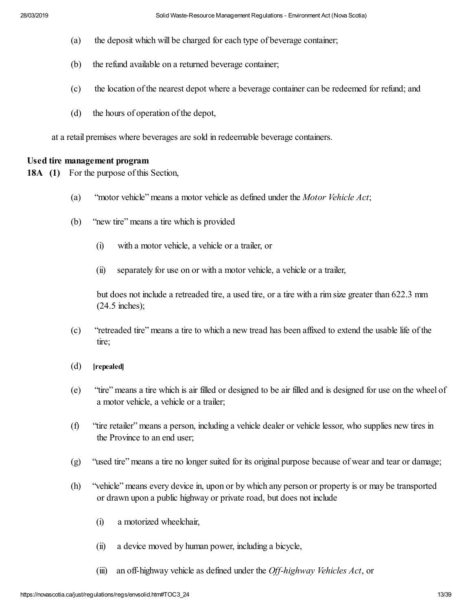- (a) the deposit which will be charged for each type of beverage container;
- (b) the refund available on a returned beverage container;
- (c) the location of the nearest depot where a beverage container can be redeemed for refund; and
- (d) the hours of operation of the depot,

at a retail premises where beverages are sold in redeemable beverage containers.

#### **Used tire management program**

**18A (1)** For the purpose of this Section,

- (a) "motor vehicle" means a motor vehicle as defined under the *Motor Vehicle Act*;
- (b) "new tire" means a tire which is provided
	- (i) with a motor vehicle, a vehicle or a trailer, or
	- (ii) separately for use on or with a motor vehicle, a vehicle or a trailer,

but does not include a retreaded tire, a used tire, or a tire with a rim size greater than 622.3 mm (24.5 inches);

- (c) "retreaded tire" means a tire to which a new tread has been affixed to extend the usable life of the tire;
- (d) **[repealed]**
- (e) "tire" means a tire which is air filled or designed to be air filled and is designed for use on the wheel of a motor vehicle, a vehicle or a trailer;
- (f) "tire retailer" means a person, including a vehicle dealer or vehicle lessor, who supplies new tires in the Province to an end user;
- (g) "used tire" means a tire no longer suited for its original purpose because of wear and tear or damage;
- (h) "vehicle" means every device in, upon or by which any person or property is or may be transported or drawn upon a public highway or private road, but does not include
	- (i) a motorized wheelchair,
	- (ii) a device moved by human power, including a bicycle,
	- (iii) an off-highway vehicle as defined under the *Off-highway Vehicles Act*, or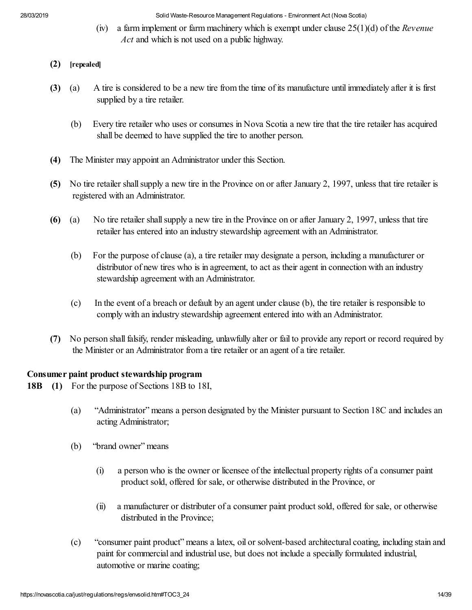(iv) a farm implement or farm machinery which is exempt under clause 25(1)(d) of the *Revenue Act* and which is not used on a public highway.

### **(2) [repealed]**

- **(3)** (a) A tire is considered to be a new tire from the time of its manufacture until immediately after it is first supplied by a tire retailer.
	- (b) Every tire retailer who uses or consumes in Nova Scotia a new tire that the tire retailer has acquired shall be deemed to have supplied the tire to another person.
- **(4)** The Minister may appoint an Administrator under this Section.
- **(5)** No tire retailer shall supply a new tire in the Province on or after January 2, 1997, unless that tire retailer is registered with an Administrator.
- **(6)** (a) No tire retailer shall supply a new tire in the Province on or after January 2, 1997, unless that tire retailer has entered into an industry stewardship agreement with an Administrator.
	- (b) For the purpose of clause (a), a tire retailer may designate a person, including a manufacturer or distributor of new tires who is in agreement, to act as their agent in connection with an industry stewardship agreement with an Administrator.
	- (c) In the event of a breach or default by an agent under clause (b), the tire retailer is responsible to comply with an industry stewardship agreement entered into with an Administrator.
- **(7)** No person shall falsify, render misleading, unlawfully alter or fail to provide any report or record required by the Minister or an Administrator from a tire retailer or an agent of a tire retailer.

# **Consumer paint product stewardship program**

- **18B (1)** For the purpose of Sections 18B to 18I,
	- (a) "Administrator" means a person designated by the Minister pursuant to Section 18C and includes an acting Administrator;
	- (b) "brand owner" means
		- (i) a person who is the owner or licensee of the intellectual property rights of a consumer paint product sold, offered for sale, or otherwise distributed in the Province, or
		- (ii) a manufacturer or distributer of a consumer paint product sold, offered for sale, or otherwise distributed in the Province;
	- (c) "consumer paint product" means a latex, oil or solvent-based architectural coating, including stain and paint for commercial and industrial use, but does not include a specially formulated industrial, automotive or marine coating;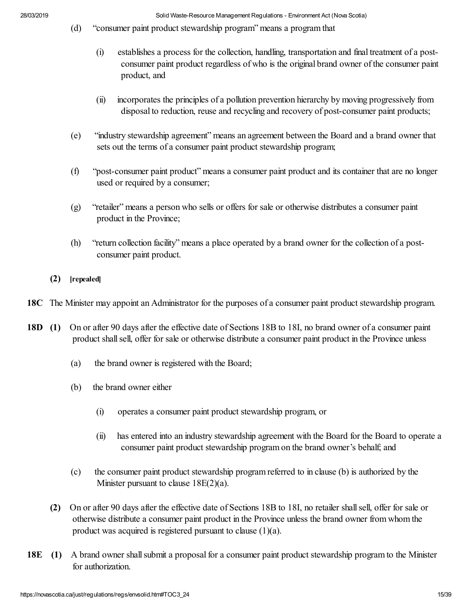- (d) "consumer paint product stewardship program" means a program that
	- (i) establishes a process for the collection, handling, transportation and final treatment of a postconsumer paint product regardless of who is the original brand owner of the consumer paint product, and
	- (ii) incorporates the principles of a pollution prevention hierarchy by moving progressively from disposal to reduction, reuse and recycling and recovery of post-consumer paint products;
- (e) "industry stewardship agreement" means an agreement between the Board and a brand owner that sets out the terms of a consumer paint product stewardship program;
- (f) "post-consumer paint product" means a consumer paint product and its container that are no longer used or required by a consumer;
- (g) "retailer" means a person who sells or offers for sale or otherwise distributes a consumer paint product in the Province;
- (h) "return collection facility" means a place operated by a brand owner for the collection of a postconsumer paint product.

#### **(2) [repealed]**

- **18C** The Minister may appoint an Administrator for the purposes of a consumer paint product stewardship program.
- **18D (1)** On or after 90 days after the effective date of Sections 18B to 18I, no brand owner of a consumer paint product shall sell, offer for sale or otherwise distribute a consumer paint product in the Province unless
	- (a) the brand owner is registered with the Board;
	- (b) the brand owner either
		- (i) operates a consumer paint product stewardship program, or
		- (ii) has entered into an industry stewardship agreement with the Board for the Board to operate a consumer paint product stewardship program on the brand owner's behalf; and
	- (c) the consumer paint product stewardship program referred to in clause (b) is authorized by the Minister pursuant to clause  $18E(2)(a)$ .
	- **(2)** On or after 90 days after the effective date of Sections 18B to 18I, no retailer shall sell, offer for sale or otherwise distribute a consumer paint product in the Province unless the brand owner from whom the product was acquired is registered pursuant to clause (1)(a).
- **18E (1)** A brand owner shall submit a proposal for a consumer paint product stewardship program to the Minister for authorization.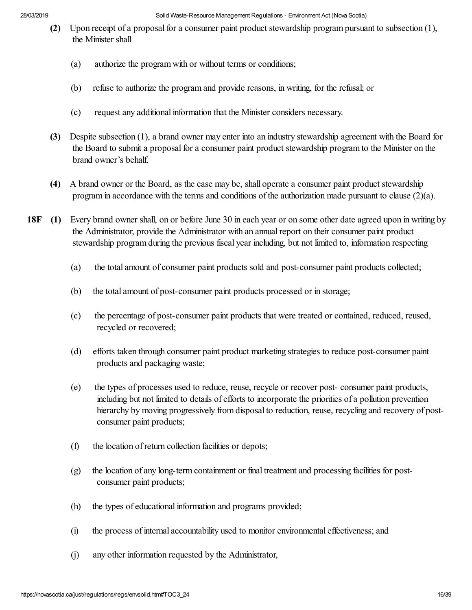- **(2)** Upon receipt of a proposal for a consumer paint product stewardship program pursuant to subsection (1), the Minister shall
	- (a) authorize the program with or without terms or conditions;
	- (b) refuse to authorize the program and provide reasons, in writing, for the refusal; or
	- (c) request any additional information that the Minister considers necessary.
- **(3)** Despite subsection (1), a brand owner may enter into an industry stewardship agreement with the Board for the Board to submit a proposal for a consumer paint product stewardship program to the Minister on the brand owner's behalf.
- **(4)** A brand owner or the Board, as the case may be, shall operate a consumer paint product stewardship program in accordance with the terms and conditions of the authorization made pursuant to clause (2)(a).
- **18F (1)** Every brand owner shall, on or before June 30 in each year or on some other date agreed upon in writing by the Administrator, provide the Administrator with an annual report on their consumer paint product stewardship program during the previous fiscal year including, but not limited to, information respecting
	- (a) the total amount of consumer paint products sold and post-consumer paint products collected;
	- (b) the total amount of post-consumer paint products processed or in storage;
	- (c) the percentage of post-consumer paint products that were treated or contained, reduced, reused, recycled or recovered;
	- (d) efforts taken through consumer paint product marketing strategies to reduce post-consumer paint products and packaging waste;
	- (e) the types of processes used to reduce, reuse, recycle or recover post- consumer paint products, including but not limited to details of efforts to incorporate the priorities of a pollution prevention hierarchy by moving progressively from disposal to reduction, reuse, recycling and recovery of postconsumer paint products;
	- (f) the location of return collection facilities or depots;
	- (g) the location of any long-term containment or final treatment and processing facilities for postconsumer paint products;
	- (h) the types of educational information and programs provided;
	- (i) the process of internal accountability used to monitor environmental effectiveness; and
	- (j) any other information requested by the Administrator,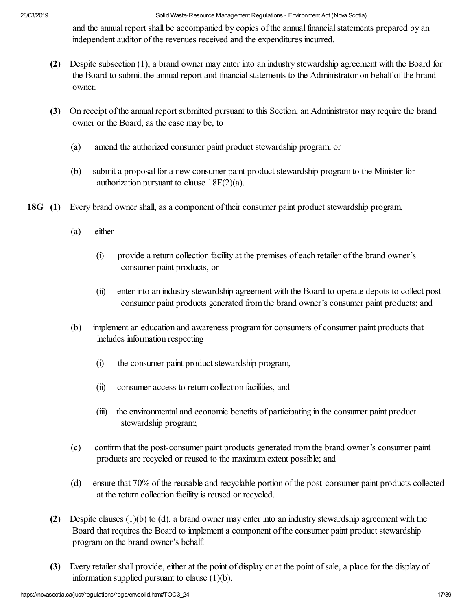and the annual report shall be accompanied by copies of the annual financial statements prepared by an independent auditor of the revenues received and the expenditures incurred.

- **(2)** Despite subsection (1), a brand owner may enter into an industry stewardship agreement with the Board for the Board to submit the annual report and financial statements to the Administrator on behalf of the brand owner.
- **(3)** On receipt of the annual report submitted pursuant to this Section, an Administrator may require the brand owner or the Board, as the case may be, to
	- (a) amend the authorized consumer paint product stewardship program; or
	- (b) submit a proposal for a new consumer paint product stewardship program to the Minister for authorization pursuant to clause  $18E(2)(a)$ .
- **18G (1)** Every brand owner shall, as a component of their consumer paint product stewardship program,
	- (a) either
		- (i) provide a return collection facility at the premises of each retailer of the brand owner's consumer paint products, or
		- (ii) enter into an industry stewardship agreement with the Board to operate depots to collect postconsumer paint products generated from the brand owner's consumer paint products; and
	- (b) implement an education and awareness program for consumers of consumer paint products that includes information respecting
		- (i) the consumer paint product stewardship program,
		- (ii) consumer access to return collection facilities, and
		- (iii) the environmental and economic benefits of participating in the consumer paint product stewardship program;
	- (c) confirm that the post-consumer paint products generated from the brand owner's consumer paint products are recycled or reused to the maximum extent possible; and
	- (d) ensure that 70% of the reusable and recyclable portion of the post-consumer paint products collected at the return collection facility is reused or recycled.
	- **(2)** Despite clauses (1)(b) to (d), a brand owner may enter into an industry stewardship agreement with the Board that requires the Board to implement a component of the consumer paint product stewardship program on the brand owner's behalf.
	- **(3)** Every retailer shall provide, either at the point of display or at the point of sale, a place for the display of information supplied pursuant to clause (1)(b).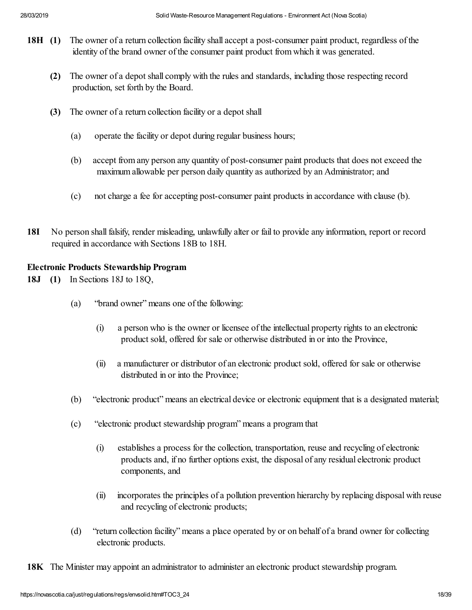- **18H (1)** The owner of a return collection facility shall accept a post-consumer paint product, regardless of the identity of the brand owner of the consumer paint product from which it was generated.
	- **(2)** The owner of a depot shall comply with the rules and standards, including those respecting record production, set forth by the Board.
	- **(3)** The owner of a return collection facility or a depot shall
		- (a) operate the facility or depot during regular business hours;
		- (b) accept from any person any quantity of post-consumer paint products that does not exceed the maximum allowable per person daily quantity as authorized by an Administrator; and
		- (c) not charge a fee for accepting post-consumer paint products in accordance with clause (b).
- **18I** No person shall falsify, render misleading, unlawfully alter or fail to provide any information, report or record required in accordance with Sections 18B to 18H.

### **Electronic Products Stewardship Program**

- **18J (1)** In Sections 18J to 18Q,
	- (a) "brand owner" means one of the following:
		- (i) a person who is the owner or licensee of the intellectual property rights to an electronic product sold, offered for sale or otherwise distributed in or into the Province,
		- (ii) a manufacturer or distributor of an electronic product sold, offered for sale or otherwise distributed in or into the Province;
	- (b) "electronic product" means an electrical device or electronic equipment that is a designated material;
	- (c) "electronic product stewardship program" means a program that
		- (i) establishes a process for the collection, transportation, reuse and recycling of electronic products and, if no further options exist, the disposal of any residual electronic product components, and
		- (ii) incorporates the principles of a pollution prevention hierarchy by replacing disposal with reuse and recycling of electronic products;
	- (d) "return collection facility" means a place operated by or on behalf of a brand owner for collecting electronic products.
- **18K** The Minister may appoint an administrator to administer an electronic product stewardship program.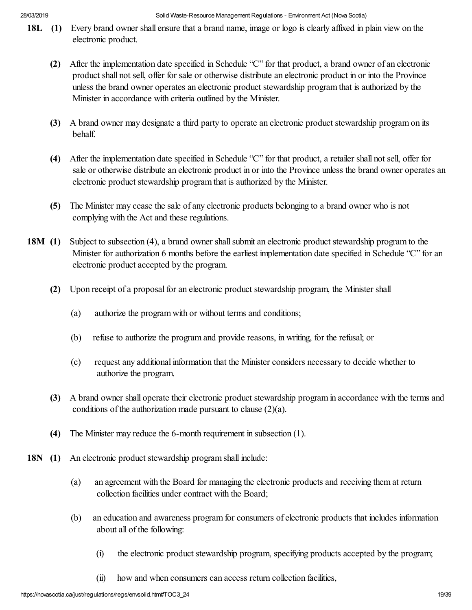- **18L** (1) Every brand owner shall ensure that a brand name, image or logo is clearly affixed in plain view on the electronic product.
	- **(2)** After the implementation date specified in Schedule "C" for that product, a brand owner of an electronic product shall not sell, offer for sale or otherwise distribute an electronic product in or into the Province unless the brand owner operates an electronic product stewardship program that is authorized by the Minister in accordance with criteria outlined by the Minister.
	- **(3)** A brand owner may designate a third party to operate an electronic product stewardship program on its behalf.
	- **(4)** After the implementation date specified in Schedule "C" for that product, a retailer shall not sell, offer for sale or otherwise distribute an electronic product in or into the Province unless the brand owner operates an electronic product stewardship program that is authorized by the Minister.
	- **(5)** The Minister may cease the sale of any electronic products belonging to a brand owner who is not complying with the Act and these regulations.
- **18M (1)** Subject to subsection (4), a brand owner shall submit an electronic product stewardship program to the Minister for authorization 6 months before the earliest implementation date specified in Schedule "C" for an electronic product accepted by the program.
	- **(2)** Upon receipt of a proposal for an electronic product stewardship program, the Minister shall
		- (a) authorize the program with or without terms and conditions;
		- (b) refuse to authorize the program and provide reasons, in writing, for the refusal; or
		- (c) request any additional information that the Minister considers necessary to decide whether to authorize the program.
	- **(3)** A brand owner shall operate their electronic product stewardship program in accordance with the terms and conditions of the authorization made pursuant to clause (2)(a).
	- **(4)** The Minister may reduce the 6-month requirement in subsection (1).
- **18N (1)** An electronic product stewardship program shall include:
	- (a) an agreement with the Board for managing the electronic products and receiving them at return collection facilities under contract with the Board;
	- (b) an education and awareness program for consumers of electronic products that includes information about all of the following:
		- (i) the electronic product stewardship program, specifying products accepted by the program;
		- (ii) how and when consumers can access return collection facilities,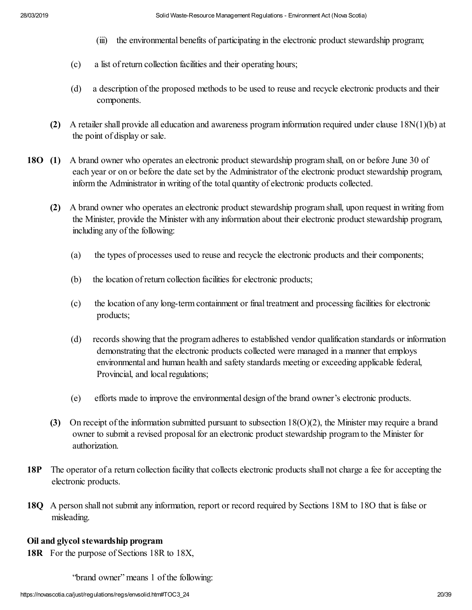- (iii) the environmental benefits of participating in the electronic product stewardship program;
- (c) a list of return collection facilities and their operating hours;
- (d) a description of the proposed methods to be used to reuse and recycle electronic products and their components.
- **(2)** A retailer shall provide all education and awareness program information required under clause 18N(1)(b) at the point of display or sale.
- **18O (1)** A brand owner who operates an electronic product stewardship program shall, on or before June 30 of each year or on or before the date set by the Administrator of the electronic product stewardship program, inform the Administrator in writing of the total quantity of electronic products collected.
	- **(2)** A brand owner who operates an electronic product stewardship program shall, upon request in writing from the Minister, provide the Minister with any information about their electronic product stewardship program, including any of the following:
		- (a) the types of processes used to reuse and recycle the electronic products and their components;
		- (b) the location of return collection facilities for electronic products;
		- (c) the location of any long-term containment or final treatment and processing facilities for electronic products;
		- (d) records showing that the program adheres to established vendor qualification standards or information demonstrating that the electronic products collected were managed in a manner that employs environmental and human health and safety standards meeting or exceeding applicable federal, Provincial, and local regulations;
		- (e) efforts made to improve the environmental design of the brand owner's electronic products.
	- **(3)** On receipt of the information submitted pursuant to subsection 18(O)(2), the Minister may require a brand owner to submit a revised proposal for an electronic product stewardship program to the Minister for authorization.
- **18P** The operator of a return collection facility that collects electronic products shall not charge a fee for accepting the electronic products.
- **18Q** A person shall not submit any information, report or record required by Sections 18M to 18O that is false or misleading.

### **Oil and glycol stewardship program**

**18R** For the purpose of Sections 18R to 18X,

"brand owner" means 1 of the following: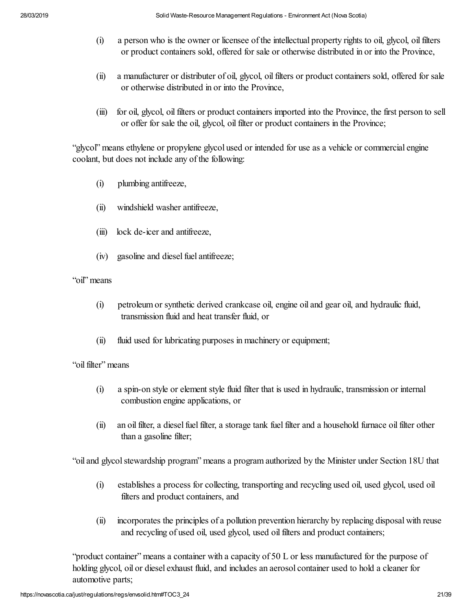- (i) a person who is the owner or licensee of the intellectual property rights to oil, glycol, oil filters or product containers sold, offered for sale or otherwise distributed in or into the Province,
- (ii) a manufacturer or distributer of oil, glycol, oil filters or product containers sold, offered for sale or otherwise distributed in or into the Province,
- (iii) for oil, glycol, oil filters or product containers imported into the Province, the first person to sell or offer for sale the oil, glycol, oil filter or product containers in the Province;

"glycol" means ethylene or propylene glycol used or intended for use as a vehicle or commercial engine coolant, but does not include any of the following:

- (i) plumbing antifreeze,
- (ii) windshield washer antifreeze,
- (iii) lock de-icer and antifreeze,
- (iv) gasoline and diesel fuel antifreeze;

#### "oil" means

- (i) petroleum or synthetic derived crankcase oil, engine oil and gear oil, and hydraulic fluid, transmission fluid and heat transfer fluid, or
- (ii) fluid used for lubricating purposes in machinery or equipment;

### "oil filter" means

- (i) a spin-on style or element style fluid filter that is used in hydraulic, transmission or internal combustion engine applications, or
- (ii) an oil filter, a diesel fuel filter, a storage tank fuel filter and a household furnace oil filter other than a gasoline filter;

"oil and glycol stewardship program" means a program authorized by the Minister under Section 18U that

- (i) establishes a process for collecting, transporting and recycling used oil, used glycol, used oil filters and product containers, and
- (ii) incorporates the principles of a pollution prevention hierarchy by replacing disposal with reuse and recycling of used oil, used glycol, used oil filters and product containers;

"product container" means a container with a capacity of 50 L or less manufactured for the purpose of holding glycol, oil or diesel exhaust fluid, and includes an aerosol container used to hold a cleaner for automotive parts;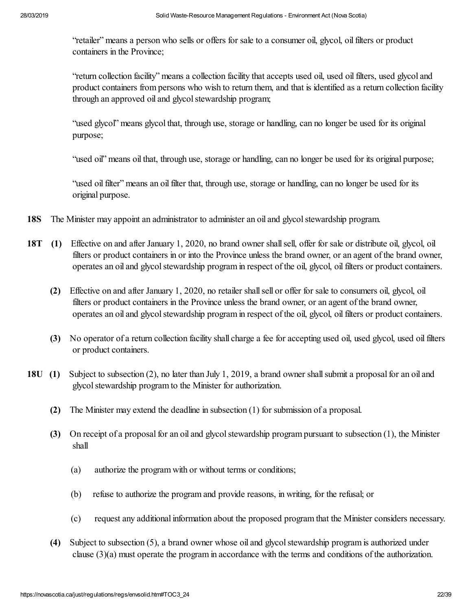"retailer" means a person who sells or offers for sale to a consumer oil, glycol, oil filters or product containers in the Province;

"return collection facility" means a collection facility that accepts used oil, used oil filters, used glycol and product containers from persons who wish to return them, and that is identified as a return collection facility through an approved oil and glycol stewardship program;

"used glycol" means glycol that, through use, storage or handling, can no longer be used for its original purpose;

"used oil" means oil that, through use, storage or handling, can no longer be used for its original purpose;

"used oil filter" means an oil filter that, through use, storage or handling, can no longer be used for its original purpose.

- **18S** The Minister may appoint an administrator to administer an oil and glycol stewardship program.
- **18T (1)** Effective on and after January 1, 2020, no brand owner shall sell, offer for sale or distribute oil, glycol, oil filters or product containers in or into the Province unless the brand owner, or an agent of the brand owner, operates an oil and glycol stewardship program in respect of the oil, glycol, oil filters or product containers.
	- **(2)** Effective on and after January 1, 2020, no retailer shall sell or offer for sale to consumers oil, glycol, oil filters or product containers in the Province unless the brand owner, or an agent of the brand owner, operates an oil and glycol stewardship program in respect of the oil, glycol, oil filters or product containers.
	- **(3)** No operator of a return collection facility shall charge a fee for accepting used oil, used glycol, used oil filters or product containers.
- **18U (1)** Subject to subsection (2), no later than July 1, 2019, a brand owner shall submit a proposal for an oil and glycol stewardship program to the Minister for authorization.
	- **(2)** The Minister may extend the deadline in subsection (1) for submission of a proposal.
	- **(3)** On receipt of a proposal for an oil and glycol stewardship program pursuant to subsection (1), the Minister shall
		- (a) authorize the program with or without terms or conditions;
		- (b) refuse to authorize the program and provide reasons, in writing, for the refusal; or
		- (c) request any additional information about the proposed program that the Minister considers necessary.
	- **(4)** Subject to subsection (5), a brand owner whose oil and glycol stewardship program is authorized under clause (3)(a) must operate the program in accordance with the terms and conditions of the authorization.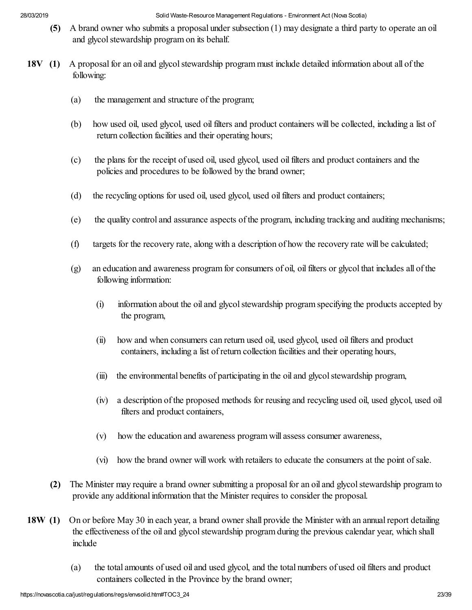- **(5)** A brand owner who submits a proposal under subsection (1) may designate a third party to operate an oil and glycol stewardship program on its behalf.
- **18V (1)** A proposal for an oil and glycol stewardship program must include detailed information about all of the following:
	- (a) the management and structure of the program;
	- (b) how used oil, used glycol, used oil filters and product containers will be collected, including a list of return collection facilities and their operating hours;
	- (c) the plans for the receipt of used oil, used glycol, used oil filters and product containers and the policies and procedures to be followed by the brand owner;
	- (d) the recycling options for used oil, used glycol, used oil filters and product containers;
	- (e) the quality control and assurance aspects of the program, including tracking and auditing mechanisms;
	- (f) targets for the recovery rate, along with a description of how the recovery rate will be calculated;
	- (g) an education and awareness program for consumers of oil, oil filters or glycol that includes all of the following information:
		- (i) information about the oil and glycol stewardship program specifying the products accepted by the program,
		- (ii) how and when consumers can return used oil, used glycol, used oil filters and product containers, including a list of return collection facilities and their operating hours,
		- (iii) the environmental benefits of participating in the oil and glycol stewardship program,
		- (iv) a description of the proposed methods for reusing and recycling used oil, used glycol, used oil filters and product containers,
		- (v) how the education and awareness program will assess consumer awareness,
		- (vi) how the brand owner will work with retailers to educate the consumers at the point of sale.
	- **(2)** The Minister may require a brand owner submitting a proposal for an oil and glycol stewardship program to provide any additional information that the Minister requires to consider the proposal.
- **18W (1)** On or before May 30 in each year, a brand owner shall provide the Minister with an annual report detailing the effectiveness of the oil and glycol stewardship program during the previous calendar year, which shall include
	- (a) the total amounts of used oil and used glycol, and the total numbers of used oil filters and product containers collected in the Province by the brand owner;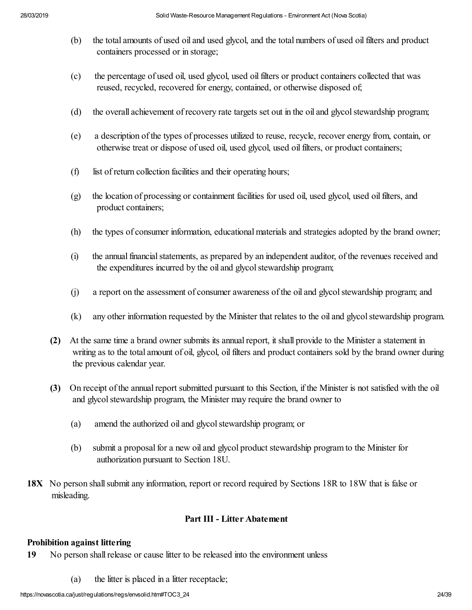- (b) the total amounts of used oil and used glycol, and the total numbers of used oil filters and product containers processed or in storage;
- (c) the percentage of used oil, used glycol, used oil filters or product containers collected that was reused, recycled, recovered for energy, contained, or otherwise disposed of;
- (d) the overall achievement of recovery rate targets set out in the oil and glycol stewardship program;
- (e) a description of the types of processes utilized to reuse, recycle, recover energy from, contain, or otherwise treat or dispose of used oil, used glycol, used oil filters, or product containers;
- (f) list of return collection facilities and their operating hours;
- (g) the location of processing or containment facilities for used oil, used glycol, used oil filters, and product containers;
- (h) the types of consumer information, educational materials and strategies adopted by the brand owner;
- (i) the annual financial statements, as prepared by an independent auditor, of the revenues received and the expenditures incurred by the oil and glycol stewardship program;
- (j) a report on the assessment of consumer awareness of the oil and glycol stewardship program; and
- (k) any other information requested by the Minister that relates to the oil and glycol stewardship program.
- **(2)** At the same time a brand owner submits its annual report, it shall provide to the Minister a statement in writing as to the total amount of oil, glycol, oil filters and product containers sold by the brand owner during the previous calendar year.
- **(3)** On receipt of the annual report submitted pursuant to this Section, if the Minister is not satisfied with the oil and glycol stewardship program, the Minister may require the brand owner to
	- (a) amend the authorized oil and glycol stewardship program; or
	- (b) submit a proposal for a new oil and glycol product stewardship program to the Minister for authorization pursuant to Section 18U.
- **18X** No person shall submit any information, report or record required by Sections 18R to 18W that is false or misleading.

#### **Part III - Litter Abatement**

#### **Prohibition against littering**

- **19** No person shall release or cause litter to be released into the environment unless
	- (a) the litter is placed in a litter receptacle;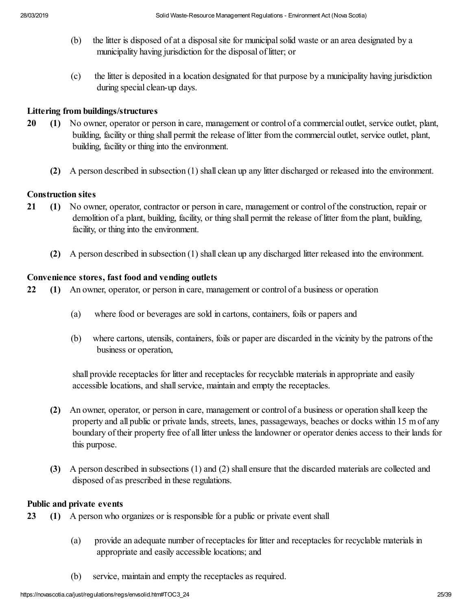- (b) the litter is disposed of at a disposal site for municipal solid waste or an area designated by a municipality having jurisdiction for the disposal of litter; or
- (c) the litter is deposited in a location designated for that purpose by a municipality having jurisdiction during special clean-up days.

#### **Littering from buildings/structures**

- **20 (1)** No owner, operator or person in care, management or control of a commercial outlet, service outlet, plant, building, facility or thing shall permit the release of litter from the commercial outlet, service outlet, plant, building, facility or thing into the environment.
	- **(2)** A person described in subsection (1) shall clean up any litter discharged or released into the environment.

#### **Construction sites**

- **21 (1)** No owner, operator, contractor or person in care, management or control of the construction, repair or demolition of a plant, building, facility, or thing shall permit the release of litter from the plant, building, facility, or thing into the environment.
	- **(2)** A person described in subsection (1) shall clean up any discharged litter released into the environment.

#### **Convenience stores, fast food and vending outlets**

- **22 (1)** An owner, operator, or person in care, management or control of a business or operation
	- (a) where food or beverages are sold in cartons, containers, foils or papers and
	- (b) where cartons, utensils, containers, foils or paper are discarded in the vicinity by the patrons of the business or operation,

shall provide receptacles for litter and receptacles for recyclable materials in appropriate and easily accessible locations, and shall service, maintain and empty the receptacles.

- **(2)** An owner, operator, or person in care, management or control of a business or operation shall keep the property and all public or private lands, streets, lanes, passageways, beaches or docks within 15 m of any boundary of their property free of all litter unless the landowner or operator denies access to their lands for this purpose.
- **(3)** A person described in subsections (1) and (2) shall ensure that the discarded materials are collected and disposed of as prescribed in these regulations.

#### **Public and private events**

- **23 (1)** A person who organizes or is responsible for a public or private event shall
	- (a) provide an adequate number of receptacles for litter and receptacles for recyclable materials in appropriate and easily accessible locations; and
	- (b) service, maintain and empty the receptacles as required.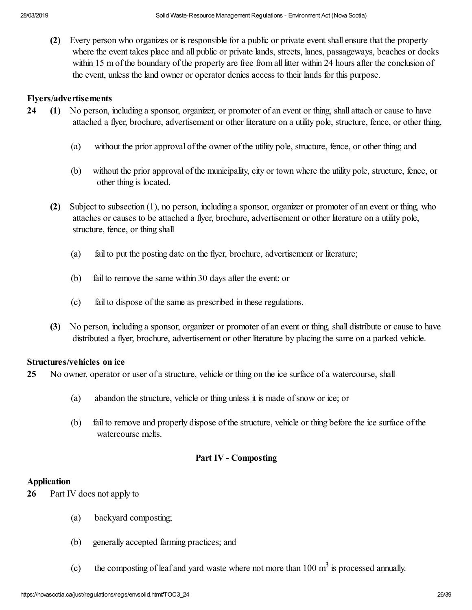**(2)** Every person who organizes or is responsible for a public or private event shall ensure that the property where the event takes place and all public or private lands, streets, lanes, passageways, beaches or docks within 15 m of the boundary of the property are free from all litter within 24 hours after the conclusion of the event, unless the land owner or operator denies access to their lands for this purpose.

#### **Flyers/advertisements**

- **24 (1)** No person, including a sponsor, organizer, or promoter of an event or thing, shall attach or cause to have attached a flyer, brochure, advertisement or other literature on a utility pole, structure, fence, or other thing,
	- (a) without the prior approval of the owner of the utility pole, structure, fence, or other thing; and
	- (b) without the prior approval of the municipality, city or town where the utility pole, structure, fence, or other thing is located.
	- **(2)** Subject to subsection (1), no person, including a sponsor, organizer or promoter of an event or thing, who attaches or causes to be attached a flyer, brochure, advertisement or other literature on a utility pole, structure, fence, or thing shall
		- (a) fail to put the posting date on the flyer, brochure, advertisement or literature;
		- (b) fail to remove the same within 30 days after the event; or
		- (c) fail to dispose of the same as prescribed in these regulations.
	- **(3)** No person, including a sponsor, organizer or promoter of an event or thing, shall distribute or cause to have distributed a flyer, brochure, advertisement or other literature by placing the same on a parked vehicle.

#### **Structures/vehicles on ice**

**25** No owner, operator or user of a structure, vehicle or thing on the ice surface of a watercourse, shall

- (a) abandon the structure, vehicle or thing unless it is made of snow or ice; or
- (b) fail to remove and properly dispose of the structure, vehicle or thing before the ice surface of the watercourse melts.

#### **Part IV - Composting**

#### **Application**

- **26** Part IV does not apply to
	- (a) backyard composting;
	- (b) generally accepted farming practices; and
- (c) the composting of leaf and yard waste where not more than  $100 \text{ m}^3$  is processed annually.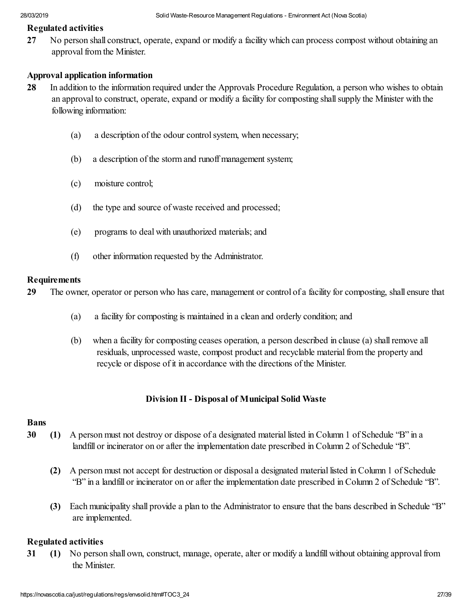#### **Regulated activities**

**27** No person shall construct, operate, expand or modify a facility which can process compost without obtaining an approval from the Minister.

#### **Approval application information**

- **28** In addition to the information required under the Approvals Procedure Regulation, a person who wishes to obtain an approval to construct, operate, expand or modify a facility for composting shall supply the Minister with the following information:
	- (a) a description of the odour control system, when necessary;
	- (b) a description of the storm and runoff management system;
	- (c) moisture control;
	- (d) the type and source of waste received and processed;
	- (e) programs to deal with unauthorized materials; and
	- (f) other information requested by the Administrator.

#### **Requirements**

**29** The owner, operator or person who has care, management or control of a facility for composting, shall ensure that

- (a) a facility for composting is maintained in a clean and orderly condition; and
- (b) when a facility for composting ceases operation, a person described in clause (a) shall remove all residuals, unprocessed waste, compost product and recyclable material from the property and recycle or dispose of it in accordance with the directions of the Minister.

#### **Division II - Disposal of Municipal Solid Waste**

#### **Bans**

- **30 (1)** A person must not destroy or dispose of a designated material listed in Column 1 of Schedule "B" in a landfill or incinerator on or after the implementation date prescribed in Column 2 of Schedule "B".
	- **(2)** A person must not accept for destruction or disposal a designated material listed in Column 1 of Schedule "B" in a landfill or incinerator on or after the implementation date prescribed in Column 2 of Schedule "B".
	- **(3)** Each municipality shall provide a plan to the Administrator to ensure that the bans described in Schedule "B" are implemented.

#### **Regulated activities**

**31 (1)** No person shall own, construct, manage, operate, alter or modify a landfill without obtaining approval from the Minister.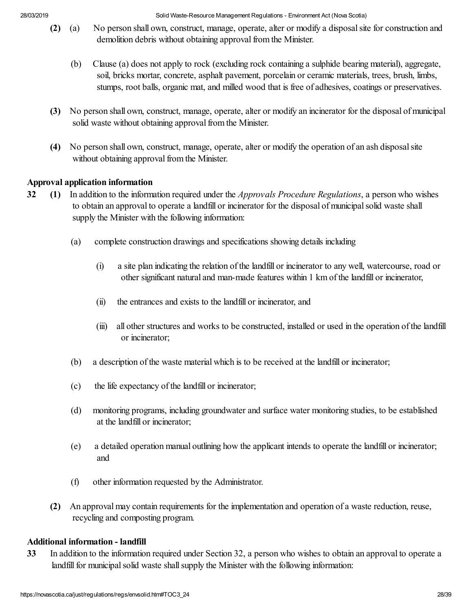- **(2)** (a) No person shall own, construct, manage, operate, alter or modify a disposal site for construction and demolition debris without obtaining approval from the Minister.
	- (b) Clause (a) does not apply to rock (excluding rock containing a sulphide bearing material), aggregate, soil, bricks mortar, concrete, asphalt pavement, porcelain or ceramic materials, trees, brush, limbs, stumps, root balls, organic mat, and milled wood that is free of adhesives, coatings or preservatives.
- **(3)** No person shall own, construct, manage, operate, alter or modify an incinerator for the disposal of municipal solid waste without obtaining approval from the Minister.
- **(4)** No person shall own, construct, manage, operate, alter or modify the operation of an ash disposal site without obtaining approval from the Minister.

### **Approval application information**

- **32 (1)** In addition to the information required under the *Approvals Procedure Regulations*, a person who wishes to obtain an approval to operate a landfill or incinerator for the disposal of municipal solid waste shall supply the Minister with the following information:
	- (a) complete construction drawings and specifications showing details including
		- (i) a site plan indicating the relation of the landfill or incinerator to any well, watercourse, road or other significant natural and man-made features within 1 km of the landfill or incinerator,
		- (ii) the entrances and exists to the landfill or incinerator, and
		- (iii) all other structures and works to be constructed, installed or used in the operation of the landfill or incinerator;
	- (b) a description of the waste material which is to be received at the landfill or incinerator;
	- (c) the life expectancy of the landfill or incinerator;
	- (d) monitoring programs, including groundwater and surface water monitoring studies, to be established at the landfill or incinerator;
	- (e) a detailed operation manual outlining how the applicant intends to operate the landfill or incinerator; and
	- (f) other information requested by the Administrator.
	- **(2)** An approval may contain requirements for the implementation and operation of a waste reduction, reuse, recycling and composting program.

### **Additional information - landfill**

**33** In addition to the information required under Section 32, a person who wishes to obtain an approval to operate a landfill for municipal solid waste shall supply the Minister with the following information: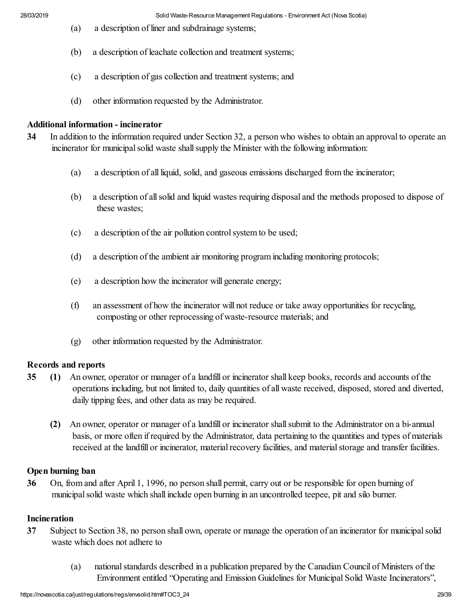- (a) a description of liner and subdrainage systems;
- (b) a description of leachate collection and treatment systems;
- (c) a description of gas collection and treatment systems; and
- (d) other information requested by the Administrator.

#### **Additional information - incinerator**

- **34** In addition to the information required under Section 32, a person who wishes to obtain an approval to operate an incinerator for municipal solid waste shall supply the Minister with the following information:
	- (a) a description of all liquid, solid, and gaseous emissions discharged from the incinerator;
	- (b) a description of all solid and liquid wastes requiring disposal and the methods proposed to dispose of these wastes;
	- (c) a description of the air pollution control system to be used;
	- (d) a description of the ambient air monitoring program including monitoring protocols;
	- (e) a description how the incinerator will generate energy;
	- (f) an assessment of how the incinerator will not reduce or take away opportunities for recycling, composting or other reprocessing of waste-resource materials; and
	- (g) other information requested by the Administrator.

#### **Records and reports**

- **35 (1)** An owner, operator or manager of a landfill or incinerator shall keep books, records and accounts of the operations including, but not limited to, daily quantities of all waste received, disposed, stored and diverted, daily tipping fees, and other data as may be required.
	- **(2)** An owner, operator or manager of a landfill or incinerator shall submit to the Administrator on a bi-annual basis, or more often if required by the Administrator, data pertaining to the quantities and types of materials received at the landfill or incinerator, material recovery facilities, and material storage and transfer facilities.

#### **Open burning ban**

**36** On, from and after April 1, 1996, no person shall permit, carry out or be responsible for open burning of municipal solid waste which shall include open burning in an uncontrolled teepee, pit and silo burner.

#### **Incineration**

- **37** Subject to Section 38, no person shall own, operate or manage the operation of an incinerator for municipal solid waste which does not adhere to
	- (a) national standards described in a publication prepared by the Canadian Council of Ministers of the Environment entitled "Operating and Emission Guidelines for Municipal Solid Waste Incinerators",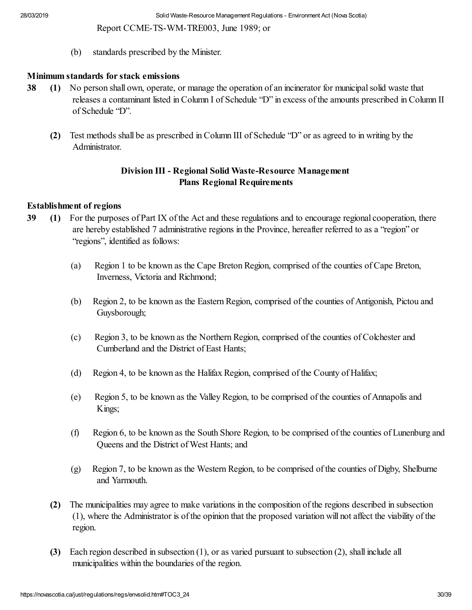Report CCME-TS-WM-TRE003, June 1989; or

(b) standards prescribed by the Minister.

#### **Minimum standards for stack emissions**

- **38 (1)** No person shall own, operate, or manage the operation of an incinerator for municipal solid waste that releases a contaminant listed in Column I of Schedule "D" in excess of the amounts prescribed in Column II of Schedule "D".
	- **(2)** Test methods shall be as prescribed in Column III of Schedule "D" or as agreed to in writing by the Administrator.

### **Division III - Regional Solid Waste-Resource Management Plans Regional Requirements**

#### **Establishment of regions**

- **39 (1)** For the purposes of Part IX of the Act and these regulations and to encourage regional cooperation, there are hereby established 7 administrative regions in the Province, hereafter referred to as a "region" or "regions", identified as follows:
	- (a) Region 1 to be known as the Cape Breton Region, comprised of the counties of Cape Breton, Inverness, Victoria and Richmond;
	- (b) Region 2, to be known as the Eastern Region, comprised of the counties of Antigonish, Pictou and Guysborough;
	- (c) Region 3, to be known as the Northern Region, comprised of the counties of Colchester and Cumberland and the District of East Hants;
	- (d) Region 4, to be known as the Halifax Region, comprised of the County of Halifax;
	- (e) Region 5, to be known as the Valley Region, to be comprised of the counties of Annapolis and Kings;
	- (f) Region 6, to be known as the South Shore Region, to be comprised of the counties of Lunenburg and Queens and the District of West Hants; and
	- (g) Region 7, to be known as the Western Region, to be comprised of the counties of Digby, Shelburne and Yarmouth.
	- **(2)** The municipalities may agree to make variations in the composition of the regions described in subsection (1), where the Administrator is of the opinion that the proposed variation will not affect the viability of the region.
	- **(3)** Each region described in subsection (1), or as varied pursuant to subsection (2), shall include all municipalities within the boundaries of the region.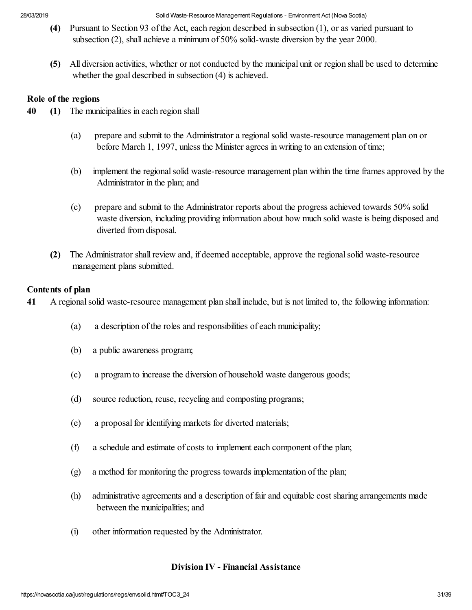- **(4)** Pursuant to Section 93 of the Act, each region described in subsection (1), or as varied pursuant to subsection (2), shall achieve a minimum of 50% solid-waste diversion by the year 2000.
- **(5)** All diversion activities, whether or not conducted by the municipal unit or region shall be used to determine whether the goal described in subsection (4) is achieved.

#### **Role of the regions**

- **40 (1)** The municipalities in each region shall
	- (a) prepare and submit to the Administrator a regional solid waste-resource management plan on or before March 1, 1997, unless the Minister agrees in writing to an extension of time;
	- (b) implement the regional solid waste-resource management plan within the time frames approved by the Administrator in the plan; and
	- (c) prepare and submit to the Administrator reports about the progress achieved towards 50% solid waste diversion, including providing information about how much solid waste is being disposed and diverted from disposal.
	- **(2)** The Administrator shall review and, if deemed acceptable, approve the regional solid waste-resource management plans submitted.

#### **Contents of plan**

**41** A regional solid waste-resource management plan shall include, but is not limited to, the following information:

- (a) a description of the roles and responsibilities of each municipality;
- (b) a public awareness program;
- (c) a program to increase the diversion of household waste dangerous goods;
- (d) source reduction, reuse, recycling and composting programs;
- (e) a proposal for identifying markets for diverted materials;
- (f) a schedule and estimate of costs to implement each component of the plan;
- (g) a method for monitoring the progress towards implementation of the plan;
- (h) administrative agreements and a description of fair and equitable cost sharing arrangements made between the municipalities; and
- (i) other information requested by the Administrator.

#### **Division IV - Financial Assistance**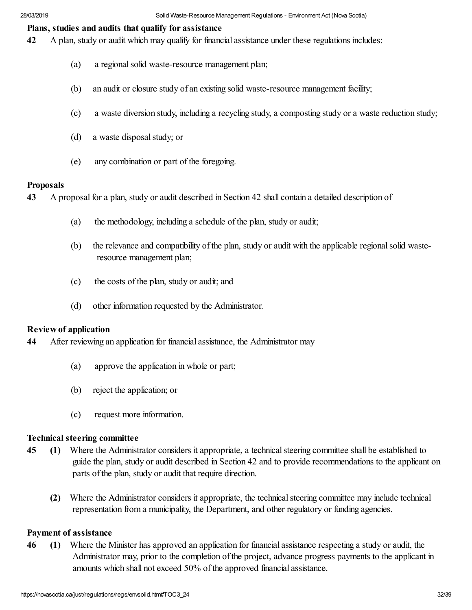#### **Plans, studies and audits that qualify for assistance**

- **42** A plan, study or audit which may qualify for financial assistance under these regulations includes:
	- (a) a regional solid waste-resource management plan;
	- (b) an audit or closure study of an existing solid waste-resource management facility;
	- (c) a waste diversion study, including a recycling study, a composting study or a waste reduction study;
	- (d) a waste disposal study; or
	- (e) any combination or part of the foregoing.

#### **Proposals**

**43** A proposal for a plan, study or audit described in Section 42 shall contain a detailed description of

- (a) the methodology, including a schedule of the plan, study or audit;
- (b) the relevance and compatibility of the plan, study or audit with the applicable regional solid wasteresource management plan;
- (c) the costs of the plan, study or audit; and
- (d) other information requested by the Administrator.

#### **Review of application**

**44** After reviewing an application for financial assistance, the Administrator may

- (a) approve the application in whole or part;
- (b) reject the application; or
- (c) request more information.

### **Technical steering committee**

- **45 (1)** Where the Administrator considers it appropriate, a technical steering committee shall be established to guide the plan, study or audit described in Section 42 and to provide recommendations to the applicant on parts of the plan, study or audit that require direction.
	- **(2)** Where the Administrator considers it appropriate, the technical steering committee may include technical representation from a municipality, the Department, and other regulatory or funding agencies.

#### **Payment of assistance**

**46 (1)** Where the Minister has approved an application for financial assistance respecting a study or audit, the Administrator may, prior to the completion of the project, advance progress payments to the applicant in amounts which shall not exceed 50% of the approved financial assistance.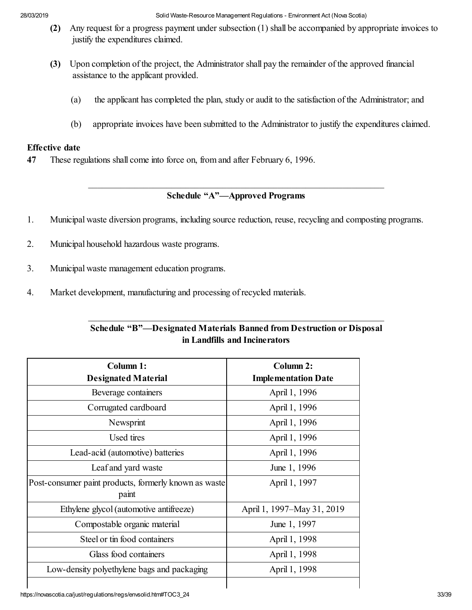- **(2)** Any request for a progress payment under subsection (1) shall be accompanied by appropriate invoices to justify the expenditures claimed.
- **(3)** Upon completion of the project, the Administrator shall pay the remainder of the approved financial assistance to the applicant provided.
	- (a) the applicant has completed the plan, study or audit to the satisfaction of the Administrator; and
	- (b) appropriate invoices have been submitted to the Administrator to justify the expenditures claimed.

#### **Effective date**

**47** These regulations shall come into force on, from and after February 6, 1996.

### \_\_\_\_\_\_\_\_\_\_\_\_\_\_\_\_\_\_\_\_\_\_\_\_\_\_\_\_\_\_\_\_\_\_\_\_\_\_\_\_\_\_\_\_\_\_\_\_\_\_\_\_\_\_\_\_\_\_\_\_\_\_\_\_ **Schedule "A"—Approved Programs**

- 1. Municipal waste diversion programs, including source reduction, reuse, recycling and composting programs.
- 2. Municipal household hazardous waste programs.
- 3. Municipal waste management education programs.
- 4. Market development, manufacturing and processing of recycled materials.

| Schedule "B"—Designated Materials Banned from Destruction or Disposal |
|-----------------------------------------------------------------------|
| in Landfills and Incinerators                                         |

\_\_\_\_\_\_\_\_\_\_\_\_\_\_\_\_\_\_\_\_\_\_\_\_\_\_\_\_\_\_\_\_\_\_\_\_\_\_\_\_\_\_\_\_\_\_\_\_\_\_\_\_\_\_\_\_\_\_\_\_\_\_\_\_

| Column 1:                                                      | Column 2:                  |
|----------------------------------------------------------------|----------------------------|
| <b>Designated Material</b>                                     | <b>Implementation Date</b> |
| Beverage containers                                            | April 1, 1996              |
| Corrugated cardboard                                           | April 1, 1996              |
| Newsprint                                                      | April 1, 1996              |
| Used tires                                                     | April 1, 1996              |
| Lead-acid (automotive) batteries                               | April 1, 1996              |
| Leaf and yard waste                                            | June 1, 1996               |
| Post-consumer paint products, formerly known as waste<br>paint | April 1, 1997              |
| Ethylene glycol (automotive antifreeze)                        | April 1, 1997–May 31, 2019 |
| Compostable organic material                                   | June 1, 1997               |
| Steel or tin food containers                                   | April 1, 1998              |
| Glass food containers                                          | April 1, 1998              |
| Low-density polyethylene bags and packaging                    | April 1, 1998              |
|                                                                |                            |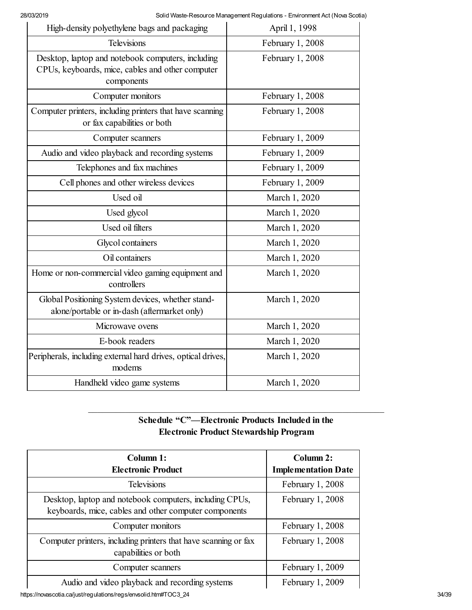| High-density polyethylene bags and packaging                                                                        | April 1, 1998    |
|---------------------------------------------------------------------------------------------------------------------|------------------|
| <b>Televisions</b>                                                                                                  | February 1, 2008 |
| Desktop, laptop and notebook computers, including<br>CPUs, keyboards, mice, cables and other computer<br>components | February 1, 2008 |
| Computer monitors                                                                                                   | February 1, 2008 |
| Computer printers, including printers that have scanning<br>or fax capabilities or both                             | February 1, 2008 |
| Computer scanners                                                                                                   | February 1, 2009 |
| Audio and video playback and recording systems                                                                      | February 1, 2009 |
| Telephones and fax machines                                                                                         | February 1, 2009 |
| Cell phones and other wireless devices                                                                              | February 1, 2009 |
| Used oil                                                                                                            | March 1, 2020    |
| Used glycol                                                                                                         | March 1, 2020    |
| Used oil filters                                                                                                    | March 1, 2020    |
| Glycol containers                                                                                                   | March 1, 2020    |
| Oil containers                                                                                                      | March 1, 2020    |
| Home or non-commercial video gaming equipment and<br>controllers                                                    | March 1, 2020    |
| Global Positioning System devices, whether stand-<br>alone/portable or in-dash (aftermarket only)                   | March 1, 2020    |
| Microwave ovens                                                                                                     | March 1, 2020    |
| E-book readers                                                                                                      | March 1, 2020    |
| Peripherals, including external hard drives, optical drives,<br>modems                                              | March 1, 2020    |
| Handheld video game systems                                                                                         | March 1, 2020    |

# **Schedule "C"—Electronic Products Included in the Electronic Product Stewardship Program**

\_\_\_\_\_\_\_\_\_\_\_\_\_\_\_\_\_\_\_\_\_\_\_\_\_\_\_\_\_\_\_\_\_\_\_\_\_\_\_\_\_\_\_\_\_\_\_\_\_\_\_\_\_\_\_\_\_\_\_\_\_\_\_\_

| Column 1:<br><b>Electronic Product</b>                                                                           | Column 2:<br><b>Implementation Date</b> |
|------------------------------------------------------------------------------------------------------------------|-----------------------------------------|
| <b>Televisions</b>                                                                                               | February 1, 2008                        |
| Desktop, laptop and notebook computers, including CPUs,<br>keyboards, mice, cables and other computer components | February 1, 2008                        |
| Computer monitors                                                                                                | February 1, 2008                        |
| Computer printers, including printers that have scanning or fax<br>capabilities or both                          | February 1, 2008                        |
| Computer scanners                                                                                                | February 1, 2009                        |
| Audio and video playback and recording systems                                                                   | February 1, 2009                        |

https://novascotia.ca/just/regulations/regs/envsolid.htm#TOC3\_24 34/39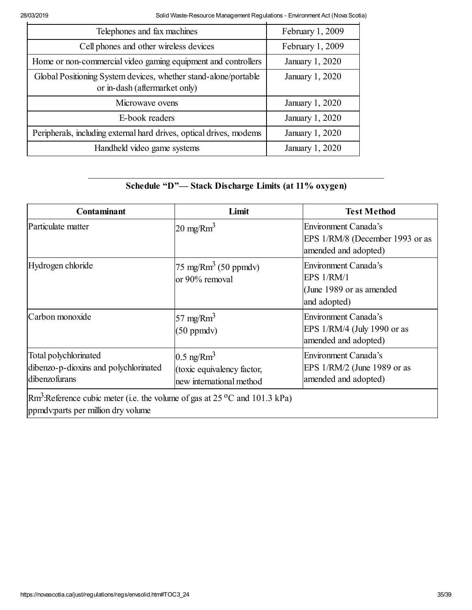| Telephones and fax machines                                                                      | February 1, 2009 |
|--------------------------------------------------------------------------------------------------|------------------|
| Cell phones and other wireless devices                                                           | February 1, 2009 |
| Home or non-commercial video gaming equipment and controllers                                    | January 1, 2020  |
| Global Positioning System devices, whether stand-alone/portable<br>or in-dash (aftermarket only) | January 1, 2020  |
| Microwave ovens                                                                                  | January 1, 2020  |
| E-book readers                                                                                   | January 1, 2020  |
| Peripherals, including external hard drives, optical drives, modems                              | January 1, 2020  |
| Handheld video game systems                                                                      | January 1, 2020  |

# \_\_\_\_\_\_\_\_\_\_\_\_\_\_\_\_\_\_\_\_\_\_\_\_\_\_\_\_\_\_\_\_\_\_\_\_\_\_\_\_\_\_\_\_\_\_\_\_\_\_\_\_\_\_\_\_\_\_\_\_\_\_\_\_ **Schedule "D"— Stack Discharge Limits (at 11% oxygen)**

| <b>Contaminant</b>                                                                                                                   | Limit                                                                              | <b>Test Method</b>                                                                     |  |
|--------------------------------------------------------------------------------------------------------------------------------------|------------------------------------------------------------------------------------|----------------------------------------------------------------------------------------|--|
| Particulate matter                                                                                                                   | $20 \text{ mg/Rm}^3$                                                               | <b>Environment Canada's</b><br>EPS 1/RM/8 (December 1993 or as<br>amended and adopted) |  |
| Hydrogen chloride                                                                                                                    | $75 \text{ mg/Rm}^3$ (50 ppmdv)<br>or 90% removal                                  | <b>Environment Canada's</b><br>EPS 1/RM/1<br>(June 1989 or as amended)<br>and adopted) |  |
| Carbon monoxide                                                                                                                      | 57 mg/ $Rm3$<br>$(50$ ppmdv $)$                                                    | Environment Canada's<br>EPS 1/RM/4 (July 1990 or as<br>amended and adopted)            |  |
| Total polychlorinated<br>dibenzo-p-dioxins and polychlorinated<br>dibenzofurans                                                      | $0.5$ ng/Rm <sup>3</sup><br>(toxic equivalency factor,<br>new international method | Environment Canada's<br>EPS 1/RM/2 (June 1989 or as<br>amended and adopted)            |  |
| $\rm Rm^3$ :Reference cubic meter (i.e. the volume of gas at 25 <sup>o</sup> C and 101.3 kPa)<br>ppmdy: parts per million dry volume |                                                                                    |                                                                                        |  |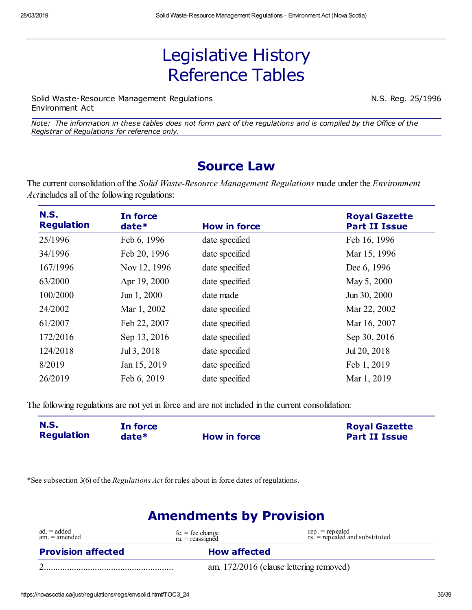# Legislative History Reference Tables

Solid Waste-Resource Management Regulations N.S. Reg. 25/1996 Environment Act

Note: The information in these tables does not form part of the regulations and is compiled by the Office of the *Registrar of Regulations for reference only.*

# **Source Law**

The current consolidation of the *Solid Waste-Resource Management Regulations* made under the *Environment Act*includes all of the following regulations:

| <b>N.S.</b><br><b>Regulation</b> | In force<br>$date*$ | <b>How in force</b> | <b>Royal Gazette</b><br><b>Part II Issue</b> |
|----------------------------------|---------------------|---------------------|----------------------------------------------|
| 25/1996                          | Feb 6, 1996         | date specified      | Feb 16, 1996                                 |
| 34/1996                          | Feb 20, 1996        | date specified      | Mar 15, 1996                                 |
| 167/1996                         | Nov 12, 1996        | date specified      | Dec 6, 1996                                  |
| 63/2000                          | Apr 19, 2000        | date specified      | May 5, 2000                                  |
| 100/2000                         | Jun 1, 2000         | date made           | Jun 30, 2000                                 |
| 24/2002                          | Mar 1, 2002         | date specified      | Mar 22, 2002                                 |
| 61/2007                          | Feb 22, 2007        | date specified      | Mar 16, 2007                                 |
| 172/2016                         | Sep 13, 2016        | date specified      | Sep 30, 2016                                 |
| 124/2018                         | Jul 3, 2018         | date specified      | Jul 20, 2018                                 |
| 8/2019                           | Jan 15, 2019        | date specified      | Feb 1, 2019                                  |
| 26/2019                          | Feb 6, 2019         | date specified      | Mar 1, 2019                                  |

The following regulations are not yet in force and are not included in the current consolidation:

| <b>N.S.</b>       | In force |                     | <b>Royal Gazette</b> |
|-------------------|----------|---------------------|----------------------|
| <b>Regulation</b> | $date*$  | <b>How in force</b> | <b>Part II Issue</b> |

\*See subsection 3(6) of the *Regulations Act* for rules about in force dates of regulations.

# **Amendments by Provision**

| $ad. = added$<br>am. = amended | $fc = fee change$<br>$ra = reassigned$ | $rep. = rep$ ealed<br>rs. = repealed and substituted |
|--------------------------------|----------------------------------------|------------------------------------------------------|
| <b>Provision affected</b>      | <b>How affected</b>                    |                                                      |
|                                |                                        | am. 172/2016 (clause lettering removed)              |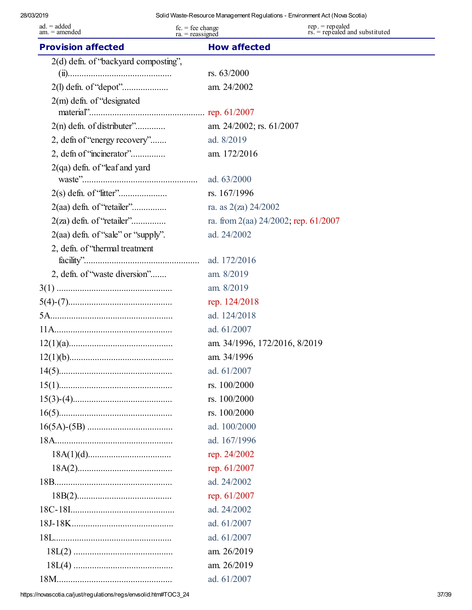| $ad = added$<br>am. = amended        | $fc = fee change$<br>$ra = reassigned$ | $rep. = rep$ ealed<br>rs. = repealed and substituted |
|--------------------------------------|----------------------------------------|------------------------------------------------------|
| <b>Provision affected</b>            | <b>How affected</b>                    |                                                      |
| 2(d) defn. of "backyard composting", |                                        |                                                      |
|                                      | rs. 63/2000                            |                                                      |
|                                      | am. 24/2002                            |                                                      |
| $2(m)$ defn. of "designated"         |                                        |                                                      |
|                                      |                                        |                                                      |
| $2(n)$ defn. of distributer"         | am. 24/2002; rs. 61/2007               |                                                      |
| 2, defin of "energy recovery"        | ad. 8/2019                             |                                                      |
| 2, defin of "incinerator"            | am. 172/2016                           |                                                      |
| $2(qa)$ defn. of "leaf and yard      |                                        |                                                      |
|                                      | ad. 63/2000                            |                                                      |
|                                      | rs. 167/1996                           |                                                      |
| 2(aa) defn. of "retailer"            | ra. as $2(za)$ 24/2002                 |                                                      |
| $2(za)$ defn. of "retailer"          |                                        | ra. from 2(aa) $24/2002$ ; rep. 61/2007              |
| $2(aa)$ defn. of "sale" or "supply". | ad. 24/2002                            |                                                      |
| 2, defn. of "thermal treatment"      | ad. 172/2016                           |                                                      |
| 2, defn. of "waste diversion"        | am. 8/2019                             |                                                      |
|                                      | am. 8/2019                             |                                                      |
|                                      | rep. 124/2018                          |                                                      |
|                                      | ad. 124/2018                           |                                                      |
|                                      | ad. 61/2007                            |                                                      |
|                                      |                                        | am. 34/1996, 172/2016, 8/2019                        |
|                                      | am. 34/1996                            |                                                      |
|                                      | ad. 61/2007                            |                                                      |
|                                      | rs. 100/2000                           |                                                      |
|                                      | rs. 100/2000                           |                                                      |
|                                      | rs. 100/2000                           |                                                      |
|                                      | ad. 100/2000                           |                                                      |
|                                      | ad. 167/1996                           |                                                      |
|                                      | rep. 24/2002                           |                                                      |
|                                      | rep. 61/2007                           |                                                      |
|                                      | ad. 24/2002                            |                                                      |
|                                      | rep. 61/2007                           |                                                      |
|                                      | ad. 24/2002                            |                                                      |
|                                      | ad. 61/2007                            |                                                      |
|                                      | ad. 61/2007                            |                                                      |
|                                      | am. 26/2019                            |                                                      |
|                                      | am. 26/2019                            |                                                      |
|                                      | ad. 61/2007                            |                                                      |

https://novascotia.ca/just/regulations/regs/envsolid.htm#TOC3\_24 37/39